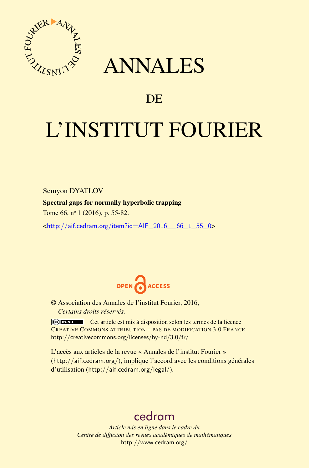

## ANNALES

### **DE**

# L'INSTITUT FOURIER

Semyon DYATLOV

#### Spectral gaps for normally hyperbolic trapping

Tome 66, nº 1 (2016), p. 55-82.

 $\kappa$ http://aif.cedram.org/item?id=AIF\_2016\_66\_1\_55\_0>



© Association des Annales de l'institut Fourier, 2016, *Certains droits réservés.*

Cet article est mis à disposition selon les termes de la licence CREATIVE COMMONS ATTRIBUTION – PAS DE MODIFICATION 3.0 FRANCE. <http://creativecommons.org/licenses/by-nd/3.0/fr/>

L'accès aux articles de la revue « Annales de l'institut Fourier » (<http://aif.cedram.org/>), implique l'accord avec les conditions générales d'utilisation (<http://aif.cedram.org/legal/>).

## [cedram](http://www.cedram.org/)

*Article mis en ligne dans le cadre du Centre de diffusion des revues académiques de mathématiques* <http://www.cedram.org/>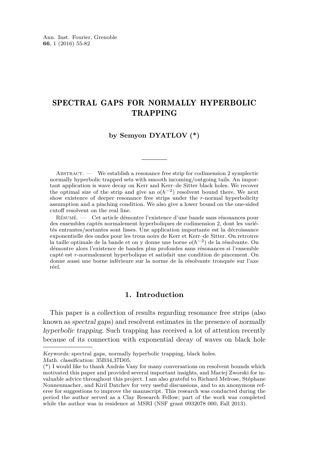#### SPECTRAL GAPS FOR NORMALLY HYPERBOLIC TRAPPING

#### **by Semyon DYATLOV (\*)**

ABSTRACT. — We establish a resonance free strip for codimension 2 symplectic normally hyperbolic trapped sets with smooth incoming/outgoing tails. An important application is wave decay on Kerr and Kerr–de Sitter black holes. We recover the optimal size of the strip and give an  $o(h^{-2})$  resolvent bound there. We next show existence of deeper resonance free strips under the *r*-normal hyperbolicity assumption and a pinching condition. We also give a lower bound on the one-sided cutoff resolvent on the real line.

Résumé. — Cet article démontre l'existence d'une bande sans résonances pour des ensembles captés normalement hyperboliques de codimension 2, dont les variétés entrantes/sortantes sont lisses. Une application importante est la décroissance exponentielle des ondes pour les trous noirs de Kerr et Kerr–de Sitter. On retrouve la taille optimale de la bande et on y donne une borne *o*(*h*−<sup>2</sup> ) de la résolvante. On démontre alors l'existence de bandes plus profondes sans résonances si l'ensemble capté est *r*-normalement hyperbolique et satisfait une condition de pincement. On donne aussi une borne inférieure sur la norme de la résolvante tronquée sur l'axe réel.

#### **1. Introduction**

This paper is a collection of results regarding resonance free strips (also known as spectral gaps) and resolvent estimates in the presence of normally hyperbolic trapping. Such trapping has received a lot of attention recently because of its connection with exponential decay of waves on black hole

Math. classification: 35B34,37D05.

Keywords: spectral gaps, normally hyperbolic trapping, black holes.

<sup>(\*)</sup> I would like to thank András Vasy for many conversations on resolvent bounds which motivated this paper and provided several important insights, and Maciej Zworski for invaluable advice throughout this project. I am also grateful to Richard Melrose, Stéphane Nonnenmacher, and Kiril Datchev for very useful discussions, and to an anonymous referee for suggestions to improve the manuscript. This research was conducted during the period the author served as a Clay Research Fellow; part of the work was completed while the author was in residence at MSRI (NSF grant 0932078 000, Fall 2013).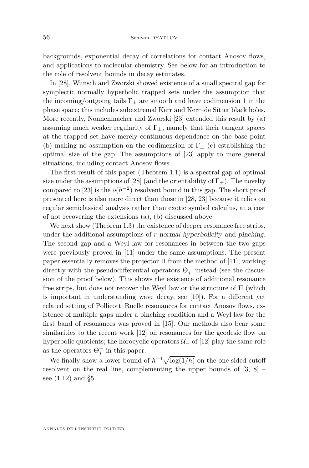backgrounds, exponential decay of correlations for contact Anosov flows, and applications to molecular chemistry. See below for an introduction to the role of resolvent bounds in decay estimates.

In [\[28\]](#page-28-0), Wunsch and Zworski showed existence of a small spectral gap for symplectic normally hyperbolic trapped sets under the assumption that the incoming/outgoing tails  $\Gamma_{+}$  are smooth and have codimension 1 in the phase space; this includes subextremal Kerr and Kerr–de Sitter black holes. More recently, Nonnenmacher and Zworski [\[23\]](#page-27-0) extended this result by (a) assuming much weaker regularity of  $\Gamma_{+}$ , namely that their tangent spaces at the trapped set have merely continuous dependence on the base point (b) making no assumption on the codimension of  $\Gamma_{\pm}$  (c) establishing the optimal size of the gap. The assumptions of [\[23\]](#page-27-0) apply to more general situations, including contact Anosov flows.

The first result of this paper (Theorem [1.1\)](#page-7-0) is a spectral gap of optimal size under the assumptions of [\[28\]](#page-28-0) (and the orientability of  $\Gamma_{\pm}$ ). The novelty compared to [\[23\]](#page-27-0) is the  $o(h^{-2})$  resolvent bound in this gap. The short proof presented here is also more direct than those in [\[28,](#page-28-0) [23\]](#page-27-0) because it relies on regular semiclassical analysis rather than exotic symbol calculus, at a cost of not recovering the extensions (a), (b) discussed above.

We next show (Theorem [1.3\)](#page-8-0) the existence of deeper resonance free strips, under the additional assumptions of *r*-normal hyperbolicity and pinching. The second gap and a Weyl law for resonances in between the two gaps were previously proved in [\[11\]](#page-27-1) under the same assumptions. The present paper essentially removes the projector Π from the method of [\[11\]](#page-27-1), working directly with the pseudodifferential operators  $\Theta_j^+$  instead (see the discussion of the proof below). This shows the existence of additional resonance free strips, but does not recover the Weyl law or the structure of Π (which is important in understanding wave decay, see [\[10\]](#page-27-2)). For a different yet related setting of Pollicott–Ruelle resonances for contact Anosov flows, existence of multiple gaps under a pinching condition and a Weyl law for the first band of resonances was proved in [\[15\]](#page-27-3). Our methods also bear some similarities to the recent work [\[12\]](#page-27-4) on resonances for the geodesic flow on hyperbolic quotients; the horocyclic operators  $\mathcal{U}_-$  of [\[12\]](#page-27-4) play the same role as the operators  $\Theta_j^+$  in this paper.

We finally show a lower bound of  $h^{-1}\sqrt{\log(1/h)}$  on the one-sided cutoff resolvent on the real line, complementing the upper bounds of  $[3, 8]$  $[3, 8]$  $[3, 8]$  – see [\(1.12\)](#page-10-0) and [§5.](#page-24-0)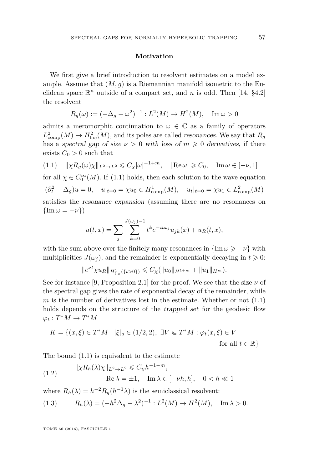#### **Motivation**

We first give a brief introduction to resolvent estimates on a model example. Assume that  $(M, g)$  is a Riemannian manifold isometric to the Euclidean space  $\mathbb{R}^n$  outside of a compact set, and *n* is odd. Then [\[14,](#page-27-7) §4.2] the resolvent

$$
R_g(\omega) := (-\Delta_g - \omega^2)^{-1} : L^2(M) \to H^2(M), \quad \text{Im } \omega > 0
$$

admits a meromorphic continuation to  $\omega \in \mathbb{C}$  as a family of operators  $L^2_{\text{comp}}(M) \to H^2_{\text{loc}}(M)$ , and its poles are called *resonances*. We say that  $R_g$ has a spectral gap of size  $\nu > 0$  with loss of  $m \geq 0$  derivatives, if there exists  $C_0 > 0$  such that

<span id="page-3-0"></span>
$$
(1.1) \quad \|\chi R_g(\omega)\chi\|_{L^2\to L^2} \leq C_{\chi}|\omega|^{-1+m}, \quad |\operatorname{Re}\omega| \geq C_0, \quad \operatorname{Im}\omega \in [-\nu, 1]
$$

for all  $\chi \in C_0^{\infty}(M)$ . If [\(1.1\)](#page-3-0) holds, then each solution to the wave equation  $(\partial_t^2 - \Delta_g)u = 0$ ,  $u|_{t=0} = \chi u_0 \in H_{\text{comp}}^1(M)$ ,  $u_t|_{t=0} = \chi u_1 \in L_{\text{comp}}^2(M)$ satisfies the resonance expansion (assuming there are no resonances on  $\{\text{Im}\,\omega = -\nu\}$ )

$$
u(t,x) = \sum_{j} \sum_{k=0}^{J(\omega_j)-1} t^k e^{-it\omega_j} u_{jk}(x) + u_R(t,x),
$$

with the sum above over the finitely many resonances in  $\{\text{Im}\,\omega\geq -\nu\}$  with multiplicities  $J(\omega_i)$ , and the remainder is exponentially decaying in  $t \geq 0$ :

$$
||e^{\nu t}\chi u_R||_{H^1_{t,x}(\{t>0\})}\leqslant C_{\chi}(||u_0||_{H^{1+m}}+||u_1||_{H^m}).
$$

See for instance [\[9,](#page-27-8) Proposition 2.1] for the proof. We see that the size  $\nu$  of the spectral gap gives the rate of exponential decay of the remainder, while *m* is the number of derivatives lost in the estimate. Whether or not [\(1.1\)](#page-3-0) holds depends on the structure of the trapped set for the geodesic flow  $\varphi_t: T^*M \to T^*M$ 

$$
K = \{(x, \xi) \in T^*M \mid |\xi|_g \in (1/2, 2), \exists V \in T^*M : \varphi_t(x, \xi) \in V
$$
  
for all  $t \in \mathbb{R}\}$ 

The bound [\(1.1\)](#page-3-0) is equivalent to the estimate

<span id="page-3-1"></span>(1.2) 
$$
\|\chi R_h(\lambda)\chi\|_{L^2 \to L^2} \leq C_{\chi} h^{-1-m},
$$

$$
\text{Re}\,\lambda = \pm 1, \quad \text{Im}\,\lambda \in [-\nu h, h], \quad 0 < h \ll 1
$$

where  $R_h(\lambda) = h^{-2}R_g(h^{-1}\lambda)$  is the semiclassical resolvent:

<span id="page-3-2"></span>(1.3) 
$$
R_h(\lambda) = (-h^2 \Delta_g - \lambda^2)^{-1} : L^2(M) \to H^2(M), \quad \text{Im } \lambda > 0.
$$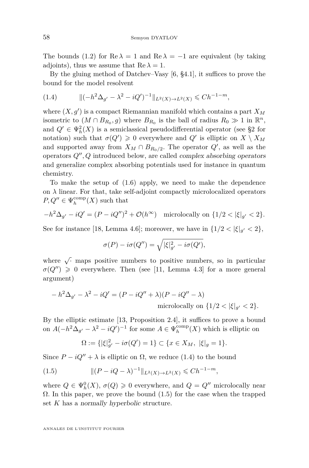The bounds [\(1.2\)](#page-3-1) for  $\text{Re }\lambda = 1$  and  $\text{Re }\lambda = -1$  are equivalent (by taking adjoints), thus we assume that  $\text{Re }\lambda = 1$ .

By the gluing method of Datchev–Vasy [\[6,](#page-27-9) §4.1], it suffices to prove the bound for the model resolvent

<span id="page-4-0"></span>(1.4) k(−*h* <sup>2</sup>∆*<sup>g</sup>* <sup>0</sup> − *λ* <sup>2</sup> − *iQ*<sup>0</sup> ) −1 k*L*2(*X*)→*L*2(*X*) 6 *Ch*−1−*m,*

where  $(X, g')$  is a compact Riemannian manifold which contains a part  $X_M$ isometric to  $(M \cap B_{R_0}, g)$  where  $B_{R_0}$  is the ball of radius  $R_0 \gg 1$  in  $\mathbb{R}^n$ , and  $Q' \in \Psi_h^2(X)$  is a semiclassical pseudodifferential operator (see [§2](#page-11-0) for notation) such that  $\sigma(Q') \geq 0$  everywhere and  $Q'$  is elliptic on  $X \setminus X_M$ and supported away from  $X_M \cap B_{R_0/2}$ . The operator  $Q'$ , as well as the operators  $Q''$ ,  $Q$  introduced below, are called *complex absorbing operators* and generalize complex absorbing potentials used for instance in quantum chemistry.

To make the setup of [\(1.6\)](#page-5-0) apply, we need to make the dependence on  $\lambda$  linear. For that, take self-adjoint compactly microlocalized operators  $P, Q'' \in \Psi_h^{\text{comp}}(X)$  such that

$$
-h^2 \Delta_{g'} - iQ' = (P - iQ'')^2 + \mathcal{O}(h^{\infty}) \quad \text{microlocally on } \{1/2 < |\xi|_{g'} < 2\}.
$$

See for instance [\[18,](#page-27-10) Lemma 4.6]; moreover, we have in  $\{1/2 < |\xi|_{g'} < 2\},\$ 

$$
\sigma(P) - i\sigma(Q'') = \sqrt{|\xi|_{g'}^2 - i\sigma(Q')},
$$

where  $\sqrt{\cdot}$  maps positive numbers to positive numbers, so in particular  $\sigma(Q'') \geq 0$  everywhere. Then (see [\[11,](#page-27-1) Lemma 4.3] for a more general argument)

$$
-h^2\Delta_{g'} - \lambda^2 - iQ' = (P - iQ'' + \lambda)(P - iQ'' - \lambda)
$$
  
microlocally on  $\{1/2 < |\xi|_{g'} < 2\}.$ 

By the elliptic estimate [\[13,](#page-27-11) Proposition 2.4], it suffices to prove a bound on  $A(-h^2\Delta_{g'} - \lambda^2 - iQ')^{-1}$  for some  $A \in \Psi_h^{\text{comp}}(X)$  which is elliptic on

<span id="page-4-1"></span>
$$
\Omega := \{ |\xi|_{g'}^2 - i\sigma(Q') = 1 \} \subset \{ x \in X_M, \ |\xi|_g = 1 \}.
$$

Since  $P - iQ'' + \lambda$  is elliptic on  $\Omega$ , we reduce [\(1.4\)](#page-4-0) to the bound

(1.5) 
$$
\| (P - iQ - \lambda)^{-1} \|_{L^2(X) \to L^2(X)} \leq C h^{-1-m},
$$

where  $Q \in \Psi_h^0(X)$ ,  $\sigma(Q) \geq 0$  everywhere, and  $Q = Q''$  microlocally near  $\Omega$ . In this paper, we prove the bound [\(1.5\)](#page-4-1) for the case when the trapped set *K* has a normally hyperbolic structure.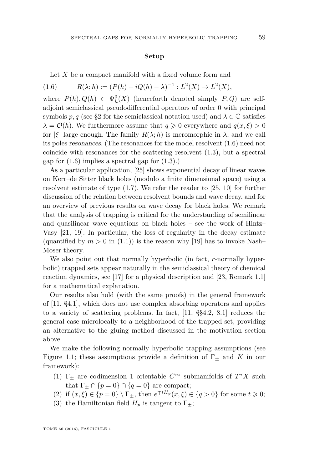#### **Setup**

<span id="page-5-0"></span>Let *X* be a compact manifold with a fixed volume form and

(1.6) 
$$
R(\lambda; h) := (P(h) - iQ(h) - \lambda)^{-1} : L^2(X) \to L^2(X),
$$

where  $P(h), Q(h) \in \Psi_h^0(X)$  (henceforth denoted simply  $P, Q$ ) are selfadjoint semiclassical pseudodifferential operators of order 0 with principal symbols *p*, *q* (see [§2](#page-11-0) for the semiclassical notation used) and  $\lambda \in \mathbb{C}$  satisfies  $\lambda = \mathcal{O}(h)$ . We furthermore assume that  $q \geq 0$  everywhere and  $q(x, \xi) > 0$ for  $|\xi|$  large enough. The family  $R(\lambda; h)$  is meromorphic in  $\lambda$ , and we call its poles resonances. (The resonances for the model resolvent [\(1.6\)](#page-5-0) need not coincide with resonances for the scattering resolvent [\(1.3\)](#page-3-2), but a spectral gap for  $(1.6)$  implies a spectral gap for  $(1.3)$ .)

As a particular application, [\[25\]](#page-27-12) shows exponential decay of linear waves on Kerr–de Sitter black holes (modulo a finite dimensional space) using a resolvent estimate of type [\(1.7\)](#page-7-1). We refer the reader to [\[25,](#page-27-12) [10\]](#page-27-2) for further discussion of the relation between resolvent bounds and wave decay, and for an overview of previous results on wave decay for black holes. We remark that the analysis of trapping is critical for the understanding of semilinear and quasilinear wave equations on black holes – see the work of Hintz– Vasy [\[21,](#page-27-13) [19\]](#page-27-14). In particular, the loss of regularity in the decay estimate (quantified by  $m > 0$  in [\(1.1\)](#page-3-0)) is the reason why [\[19\]](#page-27-14) has to invoke Nash– Moser theory.

We also point out that normally hyperbolic (in fact, *r*-normally hyperbolic) trapped sets appear naturally in the semiclassical theory of chemical reaction dynamics, see [\[17\]](#page-27-15) for a physical description and [\[23,](#page-27-0) Remark 1.1] for a mathematical explanation.

Our results also hold (with the same proofs) in the general framework of [\[11,](#page-27-1) §4.1], which does not use complex absorbing operators and applies to a variety of scattering problems. In fact, [\[11,](#page-27-1) §§4.2, 8.1] reduces the general case microlocally to a neighborhood of the trapped set, providing an alternative to the gluing method discussed in the motivation section above.

We make the following normally hyperbolic trapping assumptions (see Figure [1.1;](#page-6-0) these assumptions provide a definition of  $\Gamma_{+}$  and *K* in our framework):

- <span id="page-5-1"></span>(1)  $\Gamma_{\pm}$  are codimension 1 orientable  $C^{\infty}$  submanifolds of  $T^*X$  such that  $\Gamma_{\pm} \cap \{p = 0\} \cap \{q = 0\}$  are compact;
- (2) if  $(x, \xi) \in \{p = 0\} \setminus \Gamma_{\pm}$ , then  $e^{\mp tH_p}(x, \xi) \in \{q > 0\}$  for some  $t \geq 0$ ;
- (3) the Hamiltonian field  $H_p$  is tangent to  $\Gamma_{\pm}$ ;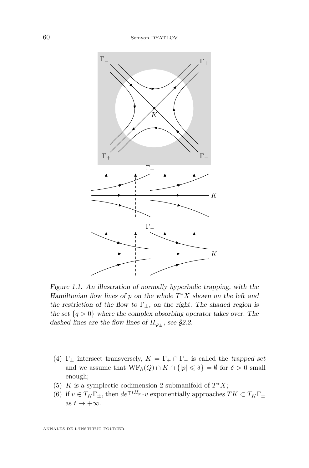

<span id="page-6-0"></span>Figure 1.1. An illustration of normally hyperbolic trapping, with the Hamiltonian flow lines of *p* on the whole *T* <sup>∗</sup>*X* shown on the left and the restriction of the flow to  $\Gamma_{\pm}$ , on the right. The shaded region is the set  ${q > 0}$  where the complex absorbing operator takes over. The dashed lines are the flow lines of  $H_{\varphi_{\pm}}$ , see [§2.2.](#page-13-0)

- (4)  $\Gamma_{\pm}$  intersect transversely,  $K = \Gamma_{+} \cap \Gamma_{-}$  is called the trapped set and we assume that  $WF_h(Q) \cap K \cap \{|p| \leq \delta\} = \emptyset$  for  $\delta > 0$  small enough;
- (5) *K* is a symplectic codimension 2 submanifold of  $T^*X$ ;
- <span id="page-6-1"></span>(6) if  $v \in T_K\Gamma_{\pm}$ , then  $de^{\mp tH_p} \cdot v$  exponentially approaches  $TK \subset T_K\Gamma_{\pm}$ as  $t \to +\infty$ .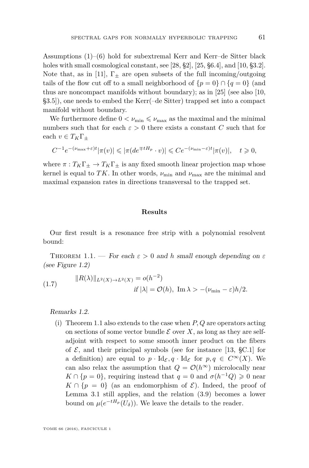Assumptions  $(1)$ – $(6)$  hold for subextremal Kerr and Kerr–de Sitter black holes with small cosmological constant, see [\[28,](#page-28-0) §2], [\[25,](#page-27-12) §6.4], and [\[10,](#page-27-2) §3.2]. Note that, as in [\[11\]](#page-27-1),  $\Gamma_{\pm}$  are open subsets of the full incoming/outgoing tails of the flow cut off to a small neighborhood of  ${p = 0} \cap {q = 0}$  (and thus are noncompact manifolds without boundary); as in [\[25\]](#page-27-12) (see also [\[10,](#page-27-2) §3.5]), one needs to embed the Kerr(–de Sitter) trapped set into a compact manifold without boundary.

We furthermore define  $0 < \nu_{\min} \leq \nu_{\max}$  as the maximal and the minimal numbers such that for each  $\varepsilon > 0$  there exists a constant *C* such that for each  $v \in T_K \Gamma_{\pm}$ 

$$
C^{-1}e^{-(\nu_{\max}+\varepsilon)t}|\pi(v)| \leq |\pi(de^{\mp tH_p} \cdot v)| \leq Ce^{-(\nu_{\min}-\varepsilon)t}|\pi(v)|, \quad t \geq 0,
$$

where  $\pi: T_K\Gamma_{\pm} \to T_K\Gamma_{\pm}$  is any fixed smooth linear projection map whose kernel is equal to *TK*. In other words,  $\nu_{\min}$  and  $\nu_{\max}$  are the minimal and maximal expansion rates in directions transversal to the trapped set.

#### **Results**

Our first result is a resonance free strip with a polynomial resolvent bound:

<span id="page-7-0"></span>THEOREM 1.1. — For each  $\varepsilon > 0$  and h small enough depending on  $\varepsilon$ (see Figure [1.2\)](#page-8-1)

<span id="page-7-1"></span>(1.7) 
$$
||R(\lambda)||_{L^2(X)\to L^2(X)} = o(h^{-2})
$$
  
if  $|\lambda| = \mathcal{O}(h)$ , Im  $\lambda > -(\nu_{\min} - \varepsilon)h/2$ .

Remarks 1.2.

(i) Theorem [1.1](#page-7-0) also extends to the case when *P, Q* are operators acting on sections of some vector bundle  $\mathcal E$  over X, as long as they are selfadjoint with respect to some smooth inner product on the fibers of  $\mathcal{E}$ , and their principal symbols (see for instance [\[13,](#page-27-11) §C.1] for a definition) are equal to  $p \cdot \text{Id}_{\mathcal{E}}, q \cdot \text{Id}_{\mathcal{E}}$  for  $p, q \in C^{\infty}(X)$ . We can also relax the assumption that  $Q = \mathcal{O}(h^{\infty})$  microlocally near  $K \cap \{p=0\}$ , requiring instead that  $q=0$  and  $\sigma(h^{-1}Q) \geq 0$  near  $K \cap \{p = 0\}$  (as an endomorphism of  $\mathcal{E}$ ). Indeed, the proof of Lemma [3.1](#page-18-0) still applies, and the relation [\(3.9\)](#page-19-0) becomes a lower bound on  $\mu(e^{-tH_p}(U_\delta))$ . We leave the details to the reader.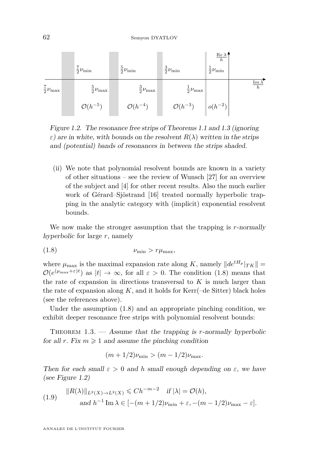

<span id="page-8-1"></span>Figure 1.2. The resonance free strips of Theorems [1.1](#page-7-0) and [1.3](#page-8-0) (ignoring *ε*) are in white, with bounds on the resolvent  $R(\lambda)$  written in the strips and (potential) bands of resonances in between the strips shaded.

(ii) We note that polynomial resolvent bounds are known in a variety of other situations – see the review of Wunsch [\[27\]](#page-28-1) for an overview of the subject and [\[4\]](#page-27-16) for other recent results. Also the much earlier work of Gérard–Sjöstrand [\[16\]](#page-27-17) treated normally hyperbolic trapping in the analytic category with (implicit) exponential resolvent bounds.

We now make the stronger assumption that the trapping is *r*-normally hyperbolic for large *r*, namely

<span id="page-8-2"></span>
$$
(1.8) \t\t \nu_{\min} > r\mu_{\max},
$$

where  $\mu_{\text{max}}$  is the maximal expansion rate along *K*, namely  $||de^{tH_p}|_{TK}|| =$  $\mathcal{O}(e^{(\mu_{\max}+\varepsilon)t})$  as  $|t|\to\infty$ , for all  $\varepsilon>0$ . The condition [\(1.8\)](#page-8-2) means that the rate of expansion in directions transversal to  $K$  is much larger than the rate of expansion along  $K$ , and it holds for  $Kerr(-de Sitter)$  black holes (see the references above).

Under the assumption [\(1.8\)](#page-8-2) and an appropriate pinching condition, we exhibit deeper resonance free strips with polynomial resolvent bounds:

<span id="page-8-0"></span>THEOREM 1.3. — Assume that the trapping is *r*-normally hyperbolic for all *r*. Fix  $m \geq 1$  and assume the pinching condition

$$
(m+1/2)\nu_{\min} > (m-1/2)\nu_{\max}.
$$

Then for each small  $\varepsilon > 0$  and h small enough depending on  $\varepsilon$ , we have (see Figure [1.2\)](#page-8-1)

<span id="page-8-3"></span>
$$
(1.9) \quad ||R(\lambda)||_{L^2(X)\to L^2(X)} \leq C h^{-m-2} \quad \text{if } |\lambda| = \mathcal{O}(h),
$$
  
and  $h^{-1} \operatorname{Im} \lambda \in [-(m+1/2)\nu_{\min} + \varepsilon, -(m-1/2)\nu_{\max} - \varepsilon].$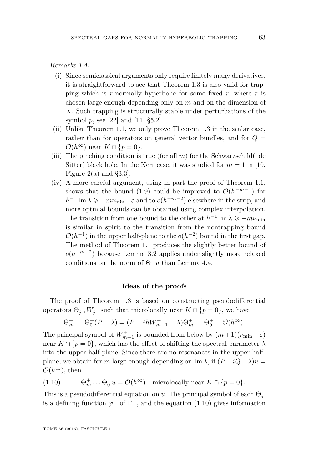Remarks 1.4.

- (i) Since semiclassical arguments only require finitely many derivatives, it is straightforward to see that Theorem [1.3](#page-8-0) is also valid for trapping which is *r*-normally hyperbolic for some fixed *r*, where *r* is chosen large enough depending only on *m* and on the dimension of *X*. Such trapping is structurally stable under perturbations of the symbol *p*, see [\[22\]](#page-27-18) and [\[11,](#page-27-1) §5.2].
- (ii) Unlike Theorem [1.1,](#page-7-0) we only prove Theorem [1.3](#page-8-0) in the scalar case, rather than for operators on general vector bundles, and for  $Q =$  $\mathcal{O}(h^{\infty})$  near  $K \cap \{p=0\}.$
- (iii) The pinching condition is true (for all  $m$ ) for the Schwarzschild(–de Sitter) black hole. In the Kerr case, it was studied for  $m = 1$  in [\[10,](#page-27-2) Figure 2(a) and §3.3].
- (iv) A more careful argument, using in part the proof of Theorem [1.1,](#page-7-0) shows that the bound [\(1.9\)](#page-8-3) could be improved to  $\mathcal{O}(h^{-m-1})$  for  $h^{-1}$  Im  $\lambda \geq -m\nu_{\min} + \varepsilon$  and to  $o(h^{-m-2})$  elsewhere in the strip, and more optimal bounds can be obtained using complex interpolation. The transition from one bound to the other at  $h^{-1}$  Im  $\lambda \ge -m\nu_{\min}$ is similar in spirit to the transition from the nontrapping bound  $\mathcal{O}(h^{-1})$  in the upper half-plane to the  $o(h^{-2})$  bound in the first gap. The method of Theorem [1.1](#page-7-0) produces the slightly better bound of  $o(h^{-m-2})$  because Lemma [3.2](#page-18-1) applies under slightly more relaxed conditions on the norm of  $\Theta^+u$  than Lemma [4.4.](#page-22-0)

#### **Ideas of the proofs**

The proof of Theorem [1.3](#page-8-0) is based on constructing pseudodifferential operators  $\Theta_j^+$ ,  $W_j^+$  such that microlocally near  $K \cap \{p=0\}$ , we have

$$
\Theta_m^+ \dots \Theta_0^+(P - \lambda) = (P - ihW_{m+1}^+ - \lambda)\Theta_m^+ \dots \Theta_0^+ + \mathcal{O}(h^{\infty}).
$$

The principal symbol of  $W^+_{m+1}$  is bounded from below by  $(m+1)(\nu_{\min}-\varepsilon)$ near  $K \cap \{p=0\}$ , which has the effect of shifting the spectral parameter  $\lambda$ into the upper half-plane. Since there are no resonances in the upper halfplane, we obtain for *m* large enough depending on Im  $\lambda$ , if  $(P - iQ - \lambda)u =$  $\mathcal{O}(h^{\infty})$ , then

<span id="page-9-0"></span>(1.10) 
$$
\Theta_m^+ \dots \Theta_0^+ u = \mathcal{O}(h^{\infty}) \text{ microlocally near } K \cap \{p = 0\}.
$$

This is a pseudodifferential equation on *u*. The principal symbol of each  $\Theta_j^+$ is a defining function  $\varphi_+$  of  $\Gamma_+$ , and the equation [\(1.10\)](#page-9-0) gives information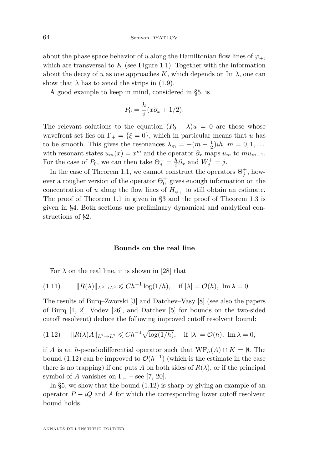64 Semyon DYATLOV

about the phase space behavior of *u* along the Hamiltonian flow lines of  $\varphi_+$ , which are transversal to  $K$  (see Figure [1.1\)](#page-6-0). Together with the information about the decay of *u* as one approaches *K*, which depends on Im  $\lambda$ , one can show that  $\lambda$  has to avoid the strips in [\(1.9\)](#page-8-3).

A good example to keep in mind, considered in [§5,](#page-24-0) is

$$
P_0 = \frac{h}{i}(x\partial_x + 1/2).
$$

The relevant solutions to the equation  $(P_0 - \lambda)u = 0$  are those whose wavefront set lies on  $\Gamma_+ = {\xi = 0}$ , which in particular means that *u* has to be smooth. This gives the resonances  $\lambda_m = -(m + \frac{1}{2})i\hbar$ ,  $m = 0, 1, \ldots$ with resonant states  $u_m(x) = x^m$  and the operator  $\partial_x$  maps  $u_m$  to  $mu_{m-1}$ . For the case of  $P_0$ , we can then take  $\Theta_j^+ = \frac{h}{i} \partial_x$  and  $W_j^+ = j$ .

In the case of Theorem [1.1,](#page-7-0) we cannot construct the operators  $\Theta_j^+$ , however a rougher version of the operator  $\Theta_0^+$  gives enough information on the concentration of *u* along the flow lines of  $H_{\varphi_+}$  to still obtain an estimate. The proof of Theorem [1.1](#page-7-0) in given in [§3](#page-17-0) and the proof of Theorem [1.3](#page-8-0) is given in [§4.](#page-20-0) Both sections use preliminary dynamical and analytical constructions of [§2.](#page-11-0)

#### **Bounds on the real line**

For  $\lambda$  on the real line, it is shown in [\[28\]](#page-28-0) that

$$
(1.11) \t\t\t ||R(\lambda)||_{L^2 \to L^2} \leq C h^{-1} \log(1/h), \t\t\t if \t\t |\lambda| = \mathcal{O}(h), \t\t \lim \lambda = 0.
$$

The results of Burq–Zworski [\[3\]](#page-27-5) and Datchev–Vasy [\[8\]](#page-27-6) (see also the papers of Burq [\[1,](#page-26-0) [2\]](#page-26-1), Vodev [\[26\]](#page-28-2), and Datchev [\[5\]](#page-27-19) for bounds on the two-sided cutoff resolvent) deduce the following improved cutoff resolvent bound:

<span id="page-10-0"></span>
$$
(1.12) \qquad ||R(\lambda)A||_{L^2 \to L^2} \leq C h^{-1} \sqrt{\log(1/h)}, \quad \text{if } |\lambda| = \mathcal{O}(h), \text{ Im } \lambda = 0,
$$

if *A* is an *h*-pseudodifferential operator such that  $WF_h(A) \cap K = \emptyset$ . The bound [\(1.12\)](#page-10-0) can be improved to  $\mathcal{O}(h^{-1})$  (which is the estimate in the case there is no trapping) if one puts A on both sides of  $R(\lambda)$ , or if the principal symbol of *A* vanishes on  $\Gamma$ <sub>-</sub> – see [\[7,](#page-27-20) [20\]](#page-27-21).

In [§5,](#page-24-0) we show that the bound [\(1.12\)](#page-10-0) is sharp by giving an example of an operator  $P - iQ$  and  $\tilde{A}$  for which the corresponding lower cutoff resolvent bound holds.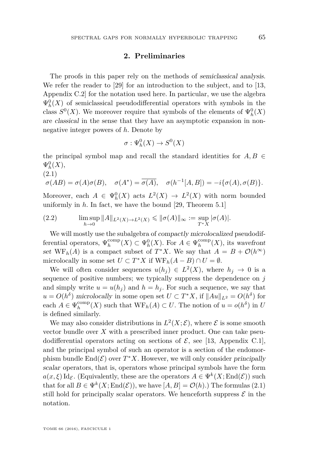#### **2. Preliminaries**

<span id="page-11-0"></span>The proofs in this paper rely on the methods of semiclassical analysis. We refer the reader to [\[29\]](#page-28-3) for an introduction to the subject, and to [\[13,](#page-27-11) Appendix C.2] for the notation used here. In particular, we use the algebra  $\Psi_h^0(X)$  of semiclassical pseudodifferential operators with symbols in the class  $S^0(X)$ . We moreover require that symbols of the elements of  $\Psi_h^0(X)$ are classical in the sense that they have an asymptotic expansion in nonnegative integer powers of *h*. Denote by

$$
\sigma: \Psi_h^0(X) \to S^0(X)
$$

the principal symbol map and recall the standard identities for  $A, B \in$  $\Psi^0_h(X)$ ,

$$
(2.1)
$$

<span id="page-11-1"></span>
$$
\sigma(AB) = \sigma(A)\sigma(B), \quad \sigma(A^*) = \overline{\sigma(A)}, \quad \sigma(h^{-1}[A,B]) = -i\{\sigma(A), \sigma(B)\}.
$$

Moreover, each  $A \in \Psi_h^0(X)$  acts  $L^2(X) \to L^2(X)$  with norm bounded uniformly in *h*. In fact, we have the bound [\[29,](#page-28-3) Theorem 5.1]

<span id="page-11-2"></span>(2.2) 
$$
\limsup_{h \to 0} ||A||_{L^2(X) \to L^2(X)} \le ||\sigma(A)||_{\infty} := \sup_{T^*X} |\sigma(A)|.
$$

We will mostly use the subalgebra of compactly microlocalized pseudodifferential operators,  $\Psi_h^{\text{comp}}(X) \subset \Psi_h^0(X)$ . For  $A \in \Psi_h^{\text{comp}}(X)$ , its wavefront set  $WF_h(A)$  is a compact subset of  $T^*X$ . We say that  $A = B + \mathcal{O}(h^{\infty})$ microlocally in some set  $U \subset T^*X$  if  $WF_h(A - B) \cap U = \emptyset$ .

We will often consider sequences  $u(h_j) \in L^2(X)$ , where  $h_j \to 0$  is a sequence of positive numbers; we typically suppress the dependence on *j* and simply write  $u = u(h_i)$  and  $h = h_i$ . For such a sequence, we say that  $u = O(h^{\delta})$  microlocally in some open set  $U \subset T^*X$ , if  $||Au||_{L^2} = O(h^{\delta})$  for each  $A \in \Psi_h^{\text{comp}}(X)$  such that  $WF_h(A) \subset U$ . The notion of  $u = o(h^{\delta})$  in  $U$ is defined similarly.

We may also consider distributions in  $L^2(X; \mathcal{E})$ , where  $\mathcal E$  is some smooth vector bundle over  $X$  with a prescribed inner product. One can take pseudodifferential operators acting on sections of  $\mathcal{E}$ , see [\[13,](#page-27-11) Appendix C.1], and the principal symbol of such an operator is a section of the endomorphism bundle  $\text{End}(\mathcal{E})$  over  $T^*X$ . However, we will only consider principally scalar operators, that is, operators whose principal symbols have the form  $a(x,\xi) \mathrm{Id}_{\mathcal{E}}$ . (Equivalently, these are the operators  $A \in \Psi^k(X;\mathrm{End}(\mathcal{E}))$  such that for all  $B \in \Psi^k(X; \text{End}(\mathcal{E}))$ , we have  $[A, B] = \mathcal{O}(h)$ .) The formulas [\(2.1\)](#page-11-1) still hold for principally scalar operators. We henceforth suppress  $\mathcal E$  in the notation.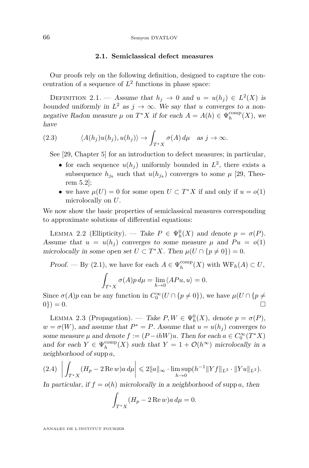#### **2.1. Semiclassical defect measures**

Our proofs rely on the following definition, designed to capture the concentration of a sequence of  $L^2$  functions in phase space:

<span id="page-12-1"></span>DEFINITION 2.1. — Assume that  $h_j \to 0$  and  $u = u(h_j) \in L^2(X)$  is bounded uniformly in  $L^2$  as  $j \to \infty$ . We say that *u* converges to a nonnegative Radon measure  $\mu$  on  $T^*X$  if for each  $A = A(h) \in \Psi_h^{\text{comp}}(X)$ , we have

(2.3) 
$$
\langle A(h_j)u(h_j), u(h_j) \rangle \to \int_{T^*X} \sigma(A) d\mu \text{ as } j \to \infty.
$$

See [\[29,](#page-28-3) Chapter 5] for an introduction to defect measures; in particular,

- for each sequence  $u(h_j)$  uniformly bounded in  $L^2$ , there exists a subsequence  $h_{j_k}$  such that  $u(h_{j_k})$  converges to some  $\mu$  [\[29,](#page-28-3) Theorem 5.2];
- we have  $\mu(U) = 0$  for some open  $U \subset T^*X$  if and only if  $u = o(1)$ microlocally on *U*.

We now show the basic properties of semiclassical measures corresponding to approximate solutions of differential equations:

<span id="page-12-3"></span>LEMMA 2.2 (Ellipticity). — Take  $P \in \Psi_h^0(X)$  and denote  $p = \sigma(P)$ . Assume that  $u = u(h_i)$  converges to some measure  $\mu$  and  $Pu = o(1)$ microlocally in some open set  $U \subset T^*X$ . Then  $\mu(U \cap \{p \neq 0\}) = 0$ .

*Proof.* — By [\(2.1\)](#page-11-1), we have for each  $A \in \Psi_h^{\text{comp}}(X)$  with  $WF_h(A) \subset U$ ,

$$
\int_{T^*X} \sigma(A)p \, d\mu = \lim_{h \to 0} \langle APu, u \rangle = 0.
$$

Since  $\sigma(A)p$  can be any function in  $C_0^{\infty}(U \cap \{p \neq 0\})$ , we have  $\mu(U \cap \{p \neq 0\})$  $0\}) = 0.$ 

<span id="page-12-2"></span>LEMMA 2.3 (Propagation). — Take  $P, W \in \Psi_h^0(X)$ , denote  $p = \sigma(P)$ ,  $w = \sigma(W)$ , and assume that  $P^* = P$ . Assume that  $u = u(h_j)$  converges to some measure  $\mu$  and denote  $f := (P - ihW)u$ . Then for each  $a \in C_0^{\infty}(T^*X)$ and for each  $Y \in \Psi_h^{\text{comp}}(X)$  such that  $Y = 1 + \mathcal{O}(h^{\infty})$  microlocally in a neighborhood of supp *a*,

<span id="page-12-0"></span>
$$
(2.4) \left| \int_{T^*X} (H_p - 2 \operatorname{Re} w) a \, d\mu \right| \leq 2 \|a\|_{\infty} \cdot \limsup_{h \to 0} (h^{-1} \|Yf\|_{L^2} \cdot \|Yu\|_{L^2}).
$$

In particular, if  $f = o(h)$  microlocally in a neighborhood of supp *a*, then

$$
\int_{T^*X} (H_p - 2 \operatorname{Re} w) a \, d\mu = 0.
$$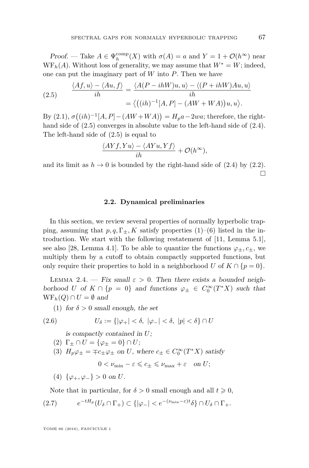Proof. — Take  $A \in \Psi_h^{\text{comp}}(X)$  with  $\sigma(A) = a$  and  $Y = 1 + \mathcal{O}(h^{\infty})$  near  $WF<sub>h</sub>(A)$ . Without loss of generality, we may assume that  $W^* = W$ ; indeed, one can put the imaginary part of *W* into *P*. Then we have

<span id="page-13-1"></span>(2.5) 
$$
\frac{\langle Af, u \rangle - \langle Au, f \rangle}{ih} = \frac{\langle A(P - ihW)u, u \rangle - \langle (P + ihW)Au, u \rangle}{ih}
$$

$$
= \langle ((ih)^{-1}[A, P] - (AW + WA))u, u \rangle.
$$

 $\text{By (2.1), } \sigma((ih)^{-1}[A, P] - (AW + WA)) = H_p a - 2wa$  $\text{By (2.1), } \sigma((ih)^{-1}[A, P] - (AW + WA)) = H_p a - 2wa$  $\text{By (2.1), } \sigma((ih)^{-1}[A, P] - (AW + WA)) = H_p a - 2wa$ ; therefore, the righthand side of  $(2.5)$  converges in absolute value to the left-hand side of  $(2.4)$ . The left-hand side of [\(2.5\)](#page-13-1) is equal to

$$
\frac{\langle AYf, Yu \rangle - \langle AYu, Yf \rangle}{ih} + \mathcal{O}(h^{\infty}),
$$

and its limit as  $h \to 0$  is bounded by the right-hand side of [\(2.4\)](#page-12-0) by [\(2.2\)](#page-11-2).  $\Box$ 

#### **2.2. Dynamical preliminaries**

<span id="page-13-0"></span>In this section, we review several properties of normally hyperbolic trapping, assuming that  $p, q, \Gamma_{\pm}, K$  satisfy properties [\(1\)](#page-5-1)–[\(6\)](#page-6-1) listed in the introduction. We start with the following restatement of [\[11,](#page-27-1) Lemma 5.1], see also [\[28,](#page-28-0) Lemma 4.1]. To be able to quantize the functions  $\varphi_{\pm}, c_{\pm}$ , we multiply them by a cutoff to obtain compactly supported functions, but only require their properties to hold in a neighborhood *U* of  $K \cap \{p=0\}$ .

<span id="page-13-4"></span>LEMMA 2.4. — Fix small  $\varepsilon > 0$ . Then there exists a bounded neighborhood *U* of  $K \cap \{p = 0\}$  and functions  $\varphi_{\pm} \in C_0^{\infty}(T^*X)$  such that  $WF_h(Q) \cap U = \emptyset$  and

(1) for  $\delta > 0$  small enough, the set

$$
(2.6) \tU_{\delta} := \{ |\varphi_{+}| < \delta, \ |\varphi_{-}| < \delta, \ |p| < \delta \} \cap U
$$

<span id="page-13-2"></span>is compactly contained in *U*;

- (2)  $\Gamma_{\pm} \cap U = {\varphi_{\pm} = 0} \cap U;$
- (3)  $H_p \varphi_{\pm} = \mp c_{\pm} \varphi_{\pm}$  on *U*, where  $c_{\pm} \in C_0^{\infty}(T^*X)$  satisfy

 $0 < \nu_{\min} - \varepsilon \leqslant c_+ \leqslant \nu_{\max} + \varepsilon$  on *U*;

(4) {*ϕ*+*, ϕ*−} *>* 0 on *U*.

<span id="page-13-3"></span>Note that in particular, for  $\delta > 0$  small enough and all  $t \geq 0$ ,

$$
(2.7) \t e^{-tH_p}(U_\delta \cap \Gamma_+) \subset \{ |\varphi_-| < e^{-(\nu_{\min}-\varepsilon)t} \delta \} \cap U_\delta \cap \Gamma_+.
$$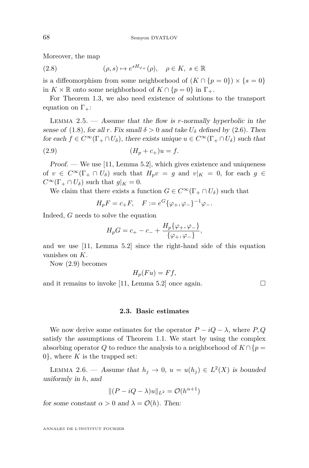Moreover, the map

<span id="page-14-2"></span>(2.8)  $(\rho, s) \mapsto e^{sH_{\varphi_+}}(\rho), \quad \rho \in K, s \in \mathbb{R}$ 

is a diffeomorphism from some neighborhood of  $(K \cap {p = 0}) \times {s = 0}$ in  $K \times \mathbb{R}$  onto some neighborhood of  $K \cap \{p=0\}$  in  $\Gamma_+$ .

For Theorem [1.3,](#page-8-0) we also need existence of solutions to the transport equation on  $\Gamma_{+}$ :

<span id="page-14-3"></span>Lemma 2.5. — Assume that the flow is *r*-normally hyperbolic in the sense of [\(1.8\)](#page-8-2), for all *r*. Fix small  $\delta > 0$  and take  $U_{\delta}$  defined by [\(2.6\)](#page-13-2). Then for each  $f \in C^{\infty}(\Gamma_+ \cap U_\delta)$ , there exists unique  $u \in C^{\infty}(\Gamma_+ \cap U_\delta)$  such that

(2.9) 
$$
(H_p + c_+)u = f.
$$

 $Proof.$  — We use [\[11,](#page-27-1) Lemma 5.2], which gives existence and uniqueness of  $v \in C^{\infty}(\Gamma_+ \cap U_\delta)$  such that  $H_p v = g$  and  $v|_K = 0$ , for each  $g \in$  $C^{\infty}(\Gamma_+ \cap U_{\delta})$  such that  $g|_K = 0$ .

We claim that there exists a function  $G \in C^{\infty}(\Gamma_+ \cap U_\delta)$  such that

<span id="page-14-0"></span>
$$
H_p F = c_+ F
$$
,  $F := e^G \{ \varphi_+, \varphi_- \}^{-1} \varphi_-$ .

Indeed, *G* needs to solve the equation

$$
H_p G = c_+ - c_- + \frac{H_p \{\varphi_+, \varphi_-\}}{\{\varphi_+, \varphi_-\}},
$$

and we use [\[11,](#page-27-1) Lemma 5.2] since the right-hand side of this equation vanishes on *K*.

Now [\(2.9\)](#page-14-0) becomes

$$
H_p(Fu) = Ff,
$$

and it remains to invoke [\[11,](#page-27-1) Lemma 5.2] once again.  $\square$ 

#### **2.3. Basic estimates**

We now derive some estimates for the operator  $P - iQ - \lambda$ , where  $P, Q$ satisfy the assumptions of Theorem [1.1.](#page-7-0) We start by using the complex absorbing operator *Q* to reduce the analysis to a neighborhood of  $K \cap \{p =$ 0, where  $K$  is the trapped set:

<span id="page-14-1"></span>LEMMA 2.6. — Assume that  $h_j \to 0$ ,  $u = u(h_j) \in L^2(X)$  is bounded uniformly in *h*, and

$$
||(P - iQ - \lambda)u||_{L^2} = \mathcal{O}(h^{\alpha+1})
$$

for some constant  $\alpha > 0$  and  $\lambda = \mathcal{O}(h)$ . Then: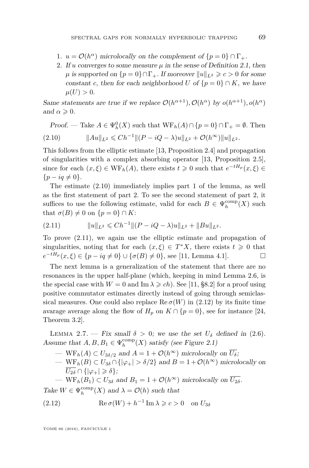- 1.  $u = \mathcal{O}(h^{\alpha})$  microlocally on the complement of  $\{p = 0\} \cap \Gamma_+$ .
- 2. If *u* converges to some measure  $\mu$  in the sense of Definition [2.1,](#page-12-1) then  $\mu$  is supported on  $\{p = 0\} \cap \Gamma_+$ . If moreover  $||u||_{L^2} \geq c > 0$  for some constant *c*, then for each neighborhood *U* of  $\{p = 0\} \cap K$ , we have  $\mu(U) > 0.$

Same statements are true if we replace  $\mathcal{O}(h^{\alpha+1}), \mathcal{O}(h^{\alpha})$  by  $o(h^{\alpha+1}), o(h^{\alpha})$ and  $\alpha \geqslant 0$ .

<span id="page-15-0"></span>Proof. — Take  $A \in \Psi_h^0(X)$  such that  $WF_h(A) \cap \{p=0\} \cap \Gamma_+ = \emptyset$ . Then  $||Au||_{L^2} \le Ch^{-1} ||(P - iQ - \lambda)u||_{L^2} + \mathcal{O}(h^{\infty})||u||_{L^2}.$ 

This follows from the elliptic estimate [\[13,](#page-27-11) Proposition 2.4] and propagation of singularities with a complex absorbing operator [\[13,](#page-27-11) Proposition 2.5], since for each  $(x, \xi) \in \text{WF}_h(A)$ , there exists  $t \geq 0$  such that  $e^{-tH_p}(x, \xi) \in$  ${p - iq \neq 0}.$ 

The estimate [\(2.10\)](#page-15-0) immediately implies part 1 of the lemma, as well as the first statement of part 2. To see the second statement of part 2, it suffices to use the following estimate, valid for each  $B \in \Psi_h^{\text{comp}}(X)$  such that  $\sigma(B) \neq 0$  on  $\{p = 0\} \cap K$ :

<span id="page-15-1"></span>
$$
(2.11) \t\t\t ||u||_{L^2} \leq C h^{-1} ||(P - iQ - \lambda)u||_{L^2} + ||Bu||_{L^2}.
$$

To prove [\(2.11\)](#page-15-1), we again use the elliptic estimate and propagation of singularities, noting that for each  $(x,\xi) \in T^*X$ , there exists  $t \geq 0$  that  $e^{-tH_p}(x,\xi) \in \{p - iq \neq 0\} \cup \{\sigma(B) \neq 0\}$ , see [\[11,](#page-27-1) Lemma 4.1].

The next lemma is a generalization of the statement that there are no resonances in the upper half-plane (which, keeping in mind Lemma [2.6,](#page-14-1) is the special case with  $W = 0$  and  $\text{Im }\lambda \geqslant ch$ ). See [\[11,](#page-27-1) §8.2] for a proof using positive commutator estimates directly instead of going through semiclassical measures. One could also replace  $\text{Re}\,\sigma(W)$  in [\(2.12\)](#page-15-2) by its finite time avarage average along the flow of  $H_p$  on  $K \cap \{p=0\}$ , see for instance [\[24,](#page-27-22) Theorem 3.2].

<span id="page-15-3"></span>LEMMA 2.7. — Fix small  $\delta > 0$ ; we use the set  $U_{\delta}$  defined in [\(2.6\)](#page-13-2). Assume that  $A, B, B_1 \in \Psi_h^{\text{comp}}(X)$  satisfy (see Figure [2.1\)](#page-16-0)

- $-\text{WF}_h(A) \subset U_{3\delta/2}$  and  $A = 1 + \mathcal{O}(h^{\infty})$  microlocally on  $\overline{U_{\delta}}$ ;
- $WF_h(B) \subset U_{3\delta} \cap \{|\varphi_+| > \delta/2\}$  and  $B = 1 + \mathcal{O}(h^{\infty})$  microlocally on  $\overline{U_{2\delta}} \cap {\{|\varphi_{+}| \geqslant \delta\}}$

<span id="page-15-2"></span>— WF<sub>h</sub>( $B_1$ )  $\subset U_{3\delta}$  and  $B_1 = 1 + \mathcal{O}(h^{\infty})$  microlocally on  $\overline{U_{2\delta}}$ .

Take  $W \in \Psi_h^{\text{comp}}(X)$  and  $\lambda = \mathcal{O}(h)$  such that

(2.12) 
$$
\operatorname{Re} \sigma(W) + h^{-1} \operatorname{Im} \lambda \geqslant c > 0 \quad \text{on } U_{3\delta}
$$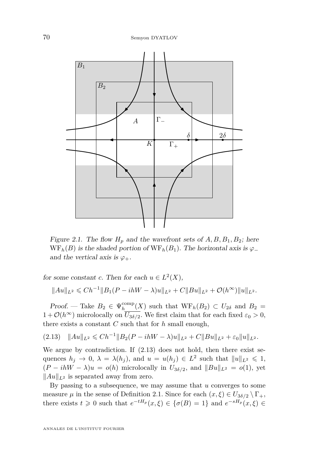

<span id="page-16-0"></span>Figure 2.1. The flow  $H_p$  and the wavefront sets of  $A, B, B_1, B_2$ ; here  $WF<sub>h</sub>(B)$  is the shaded portion of  $WF<sub>h</sub>(B<sub>1</sub>)$ . The horizontal axis is  $\varphi$ <sub>−</sub> and the vertical axis is  $\varphi_+$ .

for some constant *c*. Then for each  $u \in L^2(X)$ ,

$$
||Au||_{L^2} \leq C h^{-1} ||B_1(P - ihW - \lambda)u||_{L^2} + C||Bu||_{L^2} + \mathcal{O}(h^{\infty})||u||_{L^2}.
$$

*Proof.* — Take  $B_2 \in \Psi_h^{\text{comp}}(X)$  such that  $WF_h(B_2) \subset U_{2\delta}$  and  $B_2 =$  $1 + \mathcal{O}(h^{\infty})$  microlocally on  $U_{3\delta/2}$ . We first claim that for each fixed  $\varepsilon_0 > 0$ , there exists a constant *C* such that for *h* small enough,

<span id="page-16-1"></span> $(2.13)$   $||Au||_{L^2} \le Ch^{-1} ||B_2(P - ihW - \lambda)u||_{L^2} + C||Bu||_{L^2} + \varepsilon_0 ||u||_{L^2}.$ 

We argue by contradiction. If [\(2.13\)](#page-16-1) does not hold, then there exist sequences  $h_j \to 0$ ,  $\lambda = \lambda(h_j)$ , and  $u = u(h_j) \in L^2$  such that  $||u||_{L^2} \leq 1$ ,  $(P - ihW - \lambda)u = o(h)$  microlocally in  $U_{3\delta/2}$ , and  $||Bu||_{L^2} = o(1)$ , yet  $\|Au\|_{L^2}$  is separated away from zero.

By passing to a subsequence, we may assume that *u* converges to some measure  $\mu$  in the sense of Definition [2.1.](#page-12-1) Since for each  $(x, \xi) \in U_{3\delta/2} \setminus \Gamma_+$ , there exists  $t \geq 0$  such that  $e^{-tH_p}(x,\xi) \in {\sigma(B) = 1}$  and  $e^{-sH_p}(x,\xi) \in$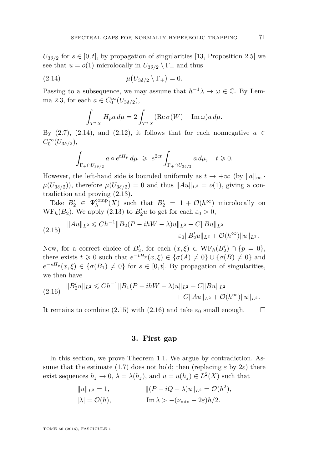$U_{3\delta/2}$  for  $s \in [0, t]$ , by propagation of singularities [\[13,](#page-27-11) Proposition 2.5] we see that  $u = o(1)$  microlocally in  $U_{3\delta/2} \setminus \Gamma_+$  and thus

$$
\mu(U_{3\delta/2} \setminus \Gamma_+) = 0.
$$

Passing to a subsequence, we may assume that  $h^{-1}\lambda \to \omega \in \mathbb{C}$ . By Lem-ma [2.3,](#page-12-2) for each  $a \in C_0^{\infty}(U_{3\delta/2}),$ 

<span id="page-17-1"></span>
$$
\int_{T^*X} H_p a \, d\mu = 2 \int_{T^*X} (\text{Re}\,\sigma(W) + \text{Im}\,\omega) a \, d\mu.
$$

By [\(2.7\)](#page-13-3), [\(2.14\)](#page-17-1), and [\(2.12\)](#page-15-2), it follows that for each nonnegative  $a \in$  $C_0^{\infty}(U_{3\delta/2}),$ 

$$
\int_{\Gamma_+ \cap U_{3\delta/2}} a \circ e^{tH_p} d\mu \geq e^{2ct} \int_{\Gamma_+ \cap U_{3\delta/2}} a d\mu, \quad t \geq 0.
$$

However, the left-hand side is bounded uniformly as  $t \to +\infty$  (by  $||a||_{\infty}$ .  $\mu(U_{3\delta/2})$ , therefore  $\mu(U_{3\delta/2}) = 0$  and thus  $||Au||_{L^2} = o(1)$ , giving a contradiction and proving [\(2.13\)](#page-16-1).

Take  $B'_2 \in \Psi_h^{\text{comp}}(X)$  such that  $B'_2 = 1 + \mathcal{O}(h^{\infty})$  microlocally on  $WF_h(B_2)$ . We apply [\(2.13\)](#page-16-1) to  $B'_2u$  to get for each  $\varepsilon_0 > 0$ ,

<span id="page-17-2"></span>
$$
(2.15) \quad ||Au||_{L^2} \leq C h^{-1} ||B_2(P - ihW - \lambda)u||_{L^2} + C ||Bu||_{L^2} + \varepsilon_0 ||B_2'u||_{L^2} + \mathcal{O}(h^{\infty}) ||u||_{L^2}.
$$

Now, for a correct choice of  $B'_2$ , for each  $(x,\xi) \in \text{WF}_h(B'_2) \cap \{p=0\},\$ there exists  $t \geq 0$  such that  $e^{-tH_p}(x,\xi) \in {\sigma(A) \neq 0} \cup {\sigma(B) \neq 0}$  and  $e^{-sH_p}(x,\xi) \in {\sigma(B_1) \neq 0}$  for  $s \in [0,t]$ . By propagation of singularities, we then have

<span id="page-17-3"></span>
$$
(2.16) \quad \|B_2'u\|_{L^2} \leq C h^{-1} \|B_1 (P - ihW - \lambda)u\|_{L^2} + C \|Bu\|_{L^2} + C \|Au\|_{L^2} + \mathcal{O}(h^{\infty}) \|u\|_{L^2}.
$$

It remains to combine [\(2.15\)](#page-17-2) with [\(2.16\)](#page-17-3) and take  $\varepsilon_0$  small enough.  $\square$ 

#### **3. First gap**

<span id="page-17-0"></span>In this section, we prove Theorem [1.1.](#page-7-0) We argue by contradiction. As-sume that the estimate [\(1.7\)](#page-7-1) does not hold; then (replacing  $\varepsilon$  by  $2\varepsilon$ ) there exist sequences  $h_j \to 0$ ,  $\lambda = \lambda(h_j)$ , and  $u = u(h_j) \in L^2(X)$  such that

$$
||u||_{L^2} = 1,
$$
  
\n $||(P - iQ - \lambda)u||_{L^2} = \mathcal{O}(h^2),$   
\n $|\lambda| = \mathcal{O}(h),$   
\nIm  $\lambda > -(\nu_{\min} - 2\varepsilon)h/2.$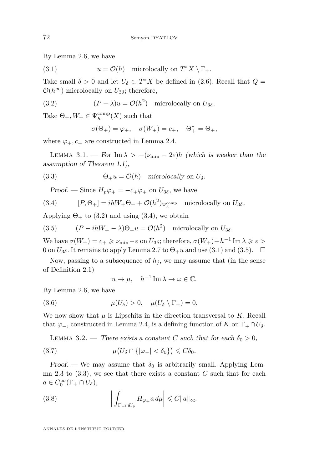By Lemma [2.6,](#page-14-1) we have

<span id="page-18-4"></span>(3.1) 
$$
u = \mathcal{O}(h)
$$
 microlocally on  $T^*X \setminus \Gamma_+$ .

Take small  $\delta > 0$  and let  $U_{\delta} \subset T^*X$  be defined in [\(2.6\)](#page-13-2). Recall that  $Q =$  $\mathcal{O}(h^{\infty})$  microlocally on  $U_{3\delta}$ ; therefore,

(3.2) 
$$
(P - \lambda)u = \mathcal{O}(h^2) \text{ microlocally on } U_{3\delta}.
$$

Take  $\Theta_+$ ,  $W_+ \in \Psi_h^{\text{comp}}(X)$  such that

<span id="page-18-6"></span><span id="page-18-2"></span>
$$
\sigma(\Theta_+) = \varphi_+, \quad \sigma(W_+) = c_+, \quad \Theta^*_+ = \Theta_+,
$$

where  $\varphi_+, c_+$  are constructed in Lemma [2.4.](#page-13-4)

<span id="page-18-0"></span>LEMMA 3.1. — For Im  $\lambda > -(\nu_{\min} - 2\varepsilon)h$  (which is weaker than the assumption of Theorem [1.1\)](#page-7-0),

(3.3) 
$$
\Theta_+ u = \mathcal{O}(h) \quad \text{microlocally on } U_{\delta}.
$$

<span id="page-18-3"></span>Proof. — Since  $H_p \varphi_+ = -c_+ \varphi_+$  on  $U_{3\delta}$ , we have

(3.4) 
$$
[P, \Theta_+] = ihW_+ \Theta_+ + \mathcal{O}(h^2)_{\Psi_h^{\text{comp}}} \text{ microlocally on } U_{3\delta}.
$$

Applying  $\Theta_+$  to [\(3.2\)](#page-18-2) and using [\(3.4\)](#page-18-3), we obtain

<span id="page-18-5"></span>(3.5) 
$$
(P - ihW_+ - \lambda)\Theta_+ u = \mathcal{O}(h^2) \text{ microlocally on } U_{3\delta}.
$$

We have  $\sigma(W_+) = c_+ \geqslant \nu_{\min} - \varepsilon$  on  $U_{3\delta}$ ; therefore,  $\sigma(W_+) + h^{-1} \operatorname{Im} \lambda \geqslant \varepsilon$ 0 on  $U_{3\delta}$ . It remains to apply Lemma [2.7](#page-15-3) to  $\Theta_+u$  and use [\(3.1\)](#page-18-4) and [\(3.5\)](#page-18-5).  $\Box$ 

Now, passing to a subsequence of  $h_j$ , we may assume that (in the sense of Definition [2.1\)](#page-12-1)

<span id="page-18-9"></span>
$$
u \to \mu, \quad h^{-1} \operatorname{Im} \lambda \to \omega \in \mathbb{C}.
$$

By Lemma [2.6,](#page-14-1) we have

(3.6) 
$$
\mu(U_{\delta}) > 0, \quad \mu(U_{\delta} \setminus \Gamma_+) = 0.
$$

We now show that  $\mu$  is Lipschitz in the direction transversal to  $K$ . Recall that  $\varphi$ <sub>−</sub>, constructed in Lemma [2.4,](#page-13-4) is a defining function of *K* on  $\Gamma_+ \cap U_\delta$ .

<span id="page-18-7"></span><span id="page-18-1"></span>LEMMA 3.2. — There exists a constant *C* such that for each  $\delta_0 > 0$ ,

(3.7) 
$$
\mu\big(U_{\delta} \cap \{|\varphi_{-}| < \delta_0\}\big) \leqslant C\delta_0.
$$

Proof. — We may assume that  $\delta_0$  is arbitrarily small. Applying Lem-ma [2.3](#page-12-2) to  $(3.3)$ , we see that there exists a constant  $C$  such that for each  $a \in C_0^{\infty}(\Gamma_+ \cap U_\delta),$ 

<span id="page-18-8"></span>(3.8) 
$$
\left| \int_{\Gamma_+\cap U_\delta} H_{\varphi_+} a \, d\mu \right| \leqslant C \|a\|_\infty.
$$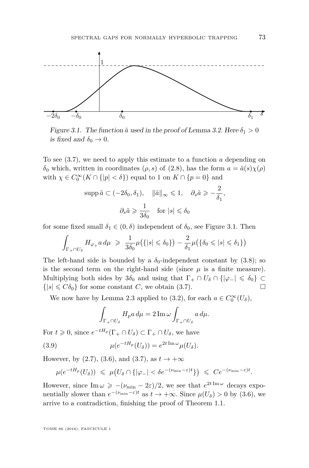

<span id="page-19-1"></span>Figure 3.1. The function  $\tilde{a}$  used in the proof of Lemma [3.2.](#page-18-1) Here  $\delta_1 > 0$ is fixed and  $\delta_0 \rightarrow 0$ .

To see [\(3.7\)](#page-18-7), we need to apply this estimate to a function *a* depending on *δ*<sub>0</sub> which, written in coordinates (*ρ, s*) of [\(2.8\)](#page-14-2), has the form  $a = \tilde{a}(s) \chi(\rho)$ with  $\chi \in C_0^{\infty}(K \cap \{|p| < \delta\})$  equal to 1 on  $K \cap \{p = 0\}$  and

$$
\text{supp}\,\tilde{a}\subset(-2\delta_0,\delta_1),\quad \|\tilde{a}\|_{\infty}\leqslant 1,\quad \partial_s\tilde{a}\geqslant-\frac{2}{\delta_1},
$$

$$
\partial_s\tilde{a}\geqslant\frac{1}{3\delta_0}\quad\text{for}\,\,|s|\leqslant\delta_0
$$

for some fixed small  $\delta_1 \in (0, \delta)$  independent of  $\delta_0$ , see Figure [3.1.](#page-19-1) Then

$$
\int_{\Gamma_+\cap U_\delta} H_{\varphi_+} a \, d\mu \ \geqslant \ \frac{1}{3\delta_0} \mu\big(\{|s| \leqslant \delta_0\}\big) - \frac{2}{\delta_1} \mu\big(\{\delta_0 \leqslant |s| \leqslant \delta_1\}\big)
$$

The left-hand side is bounded by a  $\delta_0$ -independent constant by [\(3.8\)](#page-18-8); so is the second term on the right-hand side (since  $\mu$  is a finite measure). Multiplying both sides by  $3\delta_0$  and using that  $\Gamma_+ \cap U_\delta \cap {\vert \varphi_- \vert \leq \delta_0 } \subset$  $\{|s| \leq C\delta_0\}$  for some constant *C*, we obtain [\(3.7\)](#page-18-7).

We now have by Lemma [2.3](#page-12-2) applied to [\(3.2\)](#page-18-2), for each  $a \in C_0^{\infty}(U_{\delta})$ ,

<span id="page-19-0"></span>
$$
\int_{\Gamma_+\cap U_\delta} H_p a \, d\mu = 2 \operatorname{Im} \omega \int_{\Gamma_+\cap U_\delta} a \, d\mu.
$$

For  $t \geq 0$ , since  $e^{-tH_p}(\Gamma_+ \cap U_\delta) \subset \Gamma_+ \cap U_\delta$ , we have

(3.9) 
$$
\mu(e^{-tH_p}(U_\delta)) = e^{2t \operatorname{Im} \omega} \mu(U_\delta).
$$

However, by [\(2.7\)](#page-13-3), [\(3.6\)](#page-18-9), and [\(3.7\)](#page-18-7), as  $t \to +\infty$ 

$$
\mu(e^{-tH_p}(U_\delta)) \leq \mu\big(U_\delta \cap \{|\varphi_-| < \delta e^{-(\nu_{\min}-\varepsilon)t}\}\big) \leq C e^{-(\nu_{\min}-\varepsilon)t}.
$$

However, since  $\text{Im}\,\omega \geqslant -(\nu_{\text{min}} - 2\varepsilon)/2$ , we see that  $e^{2t \text{Im}\,\omega}$  decays exponentially slower than  $e^{-(\nu_{\min}-\varepsilon)t}$  as  $t \to +\infty$ . Since  $\mu(U_{\delta}) > 0$  by [\(3.6\)](#page-18-9), we arrive to a contradiction, finishing the proof of Theorem [1.1.](#page-7-0)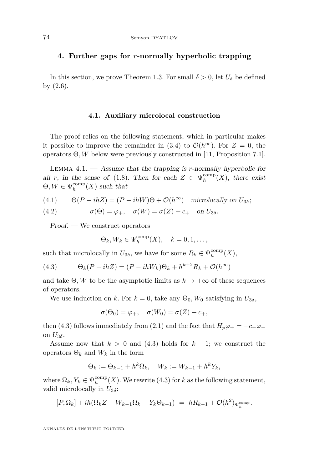#### <span id="page-20-0"></span>**4. Further gaps for** *r***-normally hyperbolic trapping**

In this section, we prove Theorem [1.3.](#page-8-0) For small  $\delta > 0$ , let  $U_{\delta}$  be defined by [\(2.6\)](#page-13-2).

#### **4.1. Auxiliary microlocal construction**

The proof relies on the following statement, which in particular makes it possible to improve the remainder in [\(3.4\)](#page-18-3) to  $\mathcal{O}(h^{\infty})$ . For  $Z = 0$ , the operators Θ*, W* below were previously constructed in [\[11,](#page-27-1) Proposition 7.1].

<span id="page-20-2"></span>Lemma 4.1. — Assume that the trapping is *r*-normally hyperbolic for all *r*, in the sense of [\(1.8\)](#page-8-2). Then for each  $Z \in \Psi_h^{\text{comp}}(X)$ , there exist  $\Theta, W \in \Psi_h^{\text{comp}}(X)$  such that

(4.1) 
$$
\Theta(P - ihZ) = (P - ihW)\Theta + \mathcal{O}(h^{\infty})
$$
 microlocally on  $U_{3\delta}$ ;

(4.2) 
$$
\sigma(\Theta) = \varphi_+, \quad \sigma(W) = \sigma(Z) + c_+ \quad \text{on } U_{3\delta}.
$$

Proof. — We construct operators

<span id="page-20-1"></span>
$$
\Theta_k, W_k \in \Psi_h^{\text{comp}}(X), \quad k = 0, 1, \dots,
$$

such that microlocally in  $U_{3\delta}$ , we have for some  $R_k \in \Psi_h^{\text{comp}}(X)$ ,

(4.3) 
$$
\Theta_k(P - ihZ) = (P - ihW_k)\Theta_k + h^{k+2}R_k + \mathcal{O}(h^{\infty})
$$

and take  $\Theta$ , W to be the asymptotic limits as  $k \to +\infty$  of these sequences of operators.

We use induction on *k*. For  $k = 0$ , take any  $\Theta_0$ ,  $W_0$  satisfying in  $U_{3\delta}$ ,

$$
\sigma(\Theta_0) = \varphi_+, \quad \sigma(W_0) = \sigma(Z) + c_+,
$$

then [\(4.3\)](#page-20-1) follows immediately from [\(2.1\)](#page-11-1) and the fact that  $H_p\varphi_+ = -c_+\varphi_+$ on  $U_{3\delta}$ .

Assume now that  $k > 0$  and [\(4.3\)](#page-20-1) holds for  $k - 1$ ; we construct the operators  $\Theta_k$  and  $W_k$  in the form

$$
\Theta_k := \Theta_{k-1} + h^k \Omega_k, \quad W_k := W_{k-1} + h^k Y_k,
$$

where  $\Omega_k$ ,  $Y_k \in \Psi_h^{\text{comp}}(X)$ . We rewrite [\(4.3\)](#page-20-1) for *k* as the following statement, valid microlocally in *U*3*<sup>δ</sup>*:

$$
[P,\Omega_k] + ih(\Omega_k Z - W_{k-1}\Omega_k - Y_k \Theta_{k-1}) = hR_{k-1} + \mathcal{O}(h^2)_{\Psi_h^{\text{comp}}}.
$$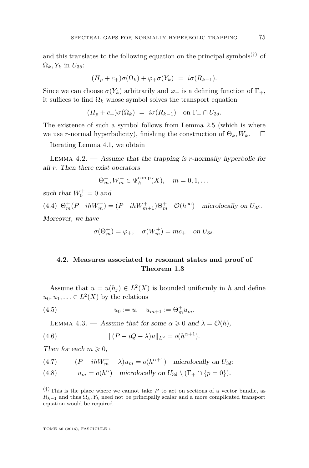and this translates to the following equation on the principal symbols<sup> $(\dagger)$ </sup> of  $\Omega_k$ *, Y<sub>k</sub>* in  $U_{3\delta}$ :

$$
(H_p + c_+)\sigma(\Omega_k) + \varphi_+\sigma(Y_k) = i\sigma(R_{k-1}).
$$

Since we can choose  $\sigma(Y_k)$  arbitrarily and  $\varphi_+$  is a defining function of  $\Gamma_+$ , it suffices to find  $\Omega_k$  whose symbol solves the transport equation

$$
(H_p + c_+)\sigma(\Omega_k) = i\sigma(R_{k-1}) \text{ on } \Gamma_+ \cap U_{3\delta}.
$$

The existence of such a symbol follows from Lemma [2.5](#page-14-3) (which is where we use *r*-normal hyperbolicity), finishing the construction of  $\Theta_k$ ,  $W_k$ .  $\square$ 

Iterating Lemma [4.1,](#page-20-2) we obtain

Lemma 4.2. — Assume that the trapping is *r*-normally hyperbolic for all *r*. Then there exist operators

$$
\Theta_m^+, W_m^+ \in \Psi_h^{\text{comp}}(X), \quad m = 0, 1, \dots
$$

such that  $W_0^+ = 0$  and

<span id="page-21-2"></span> $(4.4)$   $\Theta_m^+(P - ihW_m^+) = (P - ihW_{m+1}^+) \Theta_m^+ + \mathcal{O}(h^{\infty})$  microlocally on  $U_{3\delta}$ .

Moreover, we have

$$
\sigma(\Theta_m^+) = \varphi_+, \quad \sigma(W_m^+) = mc_+ \quad \text{on } U_{3\delta}.
$$

#### **4.2. Measures associated to resonant states and proof of Theorem [1.3](#page-8-0)**

Assume that  $u = u(h_j) \in L^2(X)$  is bounded uniformly in *h* and define  $u_0, u_1, \ldots \in L^2(X)$  by the relations

(4.5) 
$$
u_0 := u, \quad u_{m+1} := \Theta_m^+ u_m.
$$

<span id="page-21-5"></span><span id="page-21-4"></span><span id="page-21-1"></span>LEMMA 4.3. — Assume that for some  $\alpha \geq 0$  and  $\lambda = \mathcal{O}(h)$ ,

(4.6) 
$$
\| (P - iQ - \lambda)u \|_{L^2} = o(h^{\alpha + 1}).
$$

Then for each  $m \geqslant 0$ ,

<span id="page-21-0"></span>(4.7) 
$$
(P - ihW_m^+ - \lambda)u_m = o(h^{\alpha+1})
$$
 microlocally on  $U_{3\delta}$ ;

<span id="page-21-3"></span>(4.8) 
$$
u_m = o(h^{\alpha}) \text{ microlocally on } U_{3\delta} \setminus (\Gamma_+ \cap \{p = 0\}).
$$

 $(†)$  This is the place where we cannot take *P* to act on sections of a vector bundle, as  $R_{k-1}$  and thus  $\Omega_k$ ,  $Y_k$  need not be principally scalar and a more complicated transport equation would be required.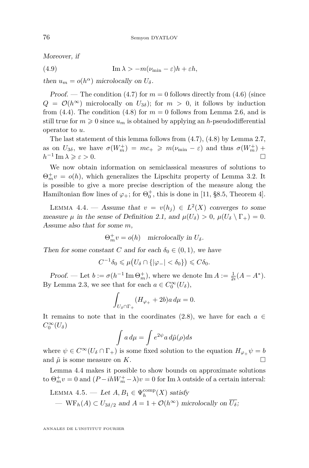Moreover, if

(4.9) 
$$
\operatorname{Im} \lambda > -m(\nu_{\min} - \varepsilon)h + \varepsilon h,
$$

then  $u_m = o(h^{\alpha})$  microlocally on  $U_{\delta}$ .

Proof. — The condition  $(4.7)$  for  $m = 0$  follows directly from  $(4.6)$  (since  $Q = \mathcal{O}(h^{\infty})$  microlocally on  $U_{3\delta}$ ; for  $m > 0$ , it follows by induction from  $(4.4)$ . The condition  $(4.8)$  for  $m = 0$  follows from Lemma [2.6,](#page-14-1) and is still true for  $m \geq 0$  since  $u_m$  is obtained by applying an *h*-pseudodifferential operator to *u*.

The last statement of this lemma follows from [\(4.7\)](#page-21-0), [\(4.8\)](#page-21-3) by Lemma [2.7,](#page-15-3) as on  $U_{3\delta}$ , we have  $\sigma(W_m^+) = mc_+ \geqslant m(\nu_{\min} - \varepsilon)$  and thus  $\sigma(W_m^+)$  +  $h^{-1}$  Im  $\lambda \geqslant \varepsilon > 0$ .

We now obtain information on semiclassical measures of solutions to  $\Theta_m^+ v = o(h)$ , which generalizes the Lipschitz property of Lemma [3.2.](#page-18-1) It is possible to give a more precise description of the measure along the Hamiltonian flow lines of  $\varphi_+$ ; for  $\Theta_0^+$ , this is done in [\[11,](#page-27-1) §8.5, Theorem 4].

<span id="page-22-0"></span>LEMMA 4.4. — Assume that  $v = v(h_j) \in L^2(X)$  converges to some measure  $\mu$  in the sense of Definition [2.1,](#page-12-1) and  $\mu(U_{\delta}) > 0$ ,  $\mu(U_{\delta} \setminus \Gamma_+) = 0$ . Assume also that for some *m*,

 $\Theta_m^+ v = o(h)$  microlocally in  $U_\delta$ .

Then for some constant *C* and for each  $\delta_0 \in (0,1)$ , we have

$$
C^{-1}\delta_0 \leq \mu\big(U_\delta \cap \{|\varphi_-| < \delta_0\}\big) \leqslant C\delta_0.
$$

Proof. — Let  $b := \sigma(h^{-1} \operatorname{Im} \Theta_m^+)$ , where we denote  $\operatorname{Im} A := \frac{1}{2i}(A - A^*)$ . By Lemma [2.3,](#page-12-2) we see that for each  $a \in C_0^{\infty}(U_{\delta}),$ 

$$
\int_{U_{\delta}\cap\Gamma_+} (H_{\varphi_+} + 2b) a \, d\mu = 0.
$$

It remains to note that in the coordinates  $(2.8)$ , we have for each  $a \in$  $C_0^{\infty}(U_{\delta})$ 

$$
\int a \, d\mu = \int e^{2\psi} a \, d\tilde{\mu}(\rho) ds
$$

where  $\psi \in C^{\infty}(U_{\delta} \cap \Gamma_+)$  is some fixed solution to the equation  $H_{\varphi_+}\psi = b$ and  $\tilde{\mu}$  is some measure on *K*.

Lemma [4.4](#page-22-0) makes it possible to show bounds on approximate solutions to  $\Theta_m^+ v = 0$  and  $(P - ihW_m^+ - \lambda)v = 0$  for Im  $\lambda$  outside of a certain interval:

<span id="page-22-1"></span>LEMMA 4.5. — Let 
$$
A, B_1 \in \Psi_h^{\text{comp}}(X)
$$
 satisfy  
—  $WF_h(A) \subset U_{3\delta/2}$  and  $A = 1 + \mathcal{O}(h^{\infty})$  microlocally on  $\overline{U_{\delta}}$ ;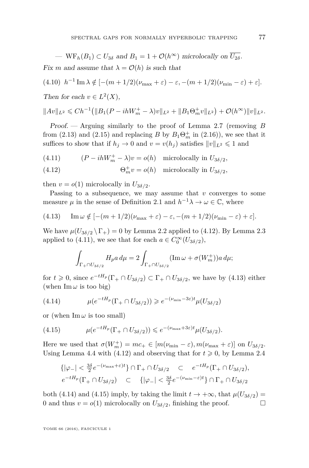—  $WF_h(B_1) \subset U_{3\delta}$  and  $B_1 = 1 + \mathcal{O}(h^{\infty})$  microlocally on  $\overline{U_{2\delta}}$ .

Fix *m* and assume that  $\lambda = \mathcal{O}(h)$  is such that

$$
(4.10) \ \ h^{-1} \operatorname{Im} \lambda \notin [-(m+1/2)(\nu_{\max} + \varepsilon) - \varepsilon, -(m+1/2)(\nu_{\min} - \varepsilon) + \varepsilon].
$$

Then for each  $v \in L^2(X)$ ,

$$
||Av||_{L^2} \leq C h^{-1} (||B_1(P - ihW_m^+ - \lambda)v||_{L^2} + ||B_1 \Theta_m^+ v||_{L^2}) + \mathcal{O}(h^{\infty}) ||v||_{L^2}.
$$

Proof. — Arguing similarly to the proof of Lemma [2.7](#page-15-3) (removing *B* from [\(2.13\)](#page-16-1) and [\(2.15\)](#page-17-2) and replacing *B* by  $B_1\Theta_m^+$  in [\(2.16\)](#page-17-3)), we see that it suffices to show that if  $h_j \to 0$  and  $v = v(h_j)$  satisfies  $||v||_{L^2} \le 1$  and

<span id="page-23-1"></span>(4.11)  $(P - ihW_m^+ - \lambda)v = o(h)$  microlocally in  $U_{3\delta/2}$ ,

<span id="page-23-0"></span>(4.12) 
$$
\Theta_m^+ v = o(h) \quad \text{microlocally in } U_{3\delta/2},
$$

then  $v = o(1)$  microlocally in  $U_{3\delta/2}$ .

Passing to a subsequence, we may assume that *v* converges to some measure  $\mu$  in the sense of Definition [2.1](#page-12-1) and  $h^{-1}\lambda \to \omega \in \mathbb{C}$ , where

<span id="page-23-2"></span>(4.13) 
$$
\operatorname{Im} \omega \notin [-(m+1/2)(\nu_{\max} + \varepsilon) - \varepsilon, -(m+1/2)(\nu_{\min} - \varepsilon) + \varepsilon].
$$

We have  $\mu(U_{3\delta/2} \backslash \Gamma_+) = 0$  by Lemma [2.2](#page-12-3) applied to [\(4.12\)](#page-23-0). By Lemma [2.3](#page-12-2) applied to [\(4.11\)](#page-23-1), we see that for each  $a \in C_0^{\infty}(U_{3\delta/2})$ ,

$$
\int_{\Gamma_+\cap U_{3\delta/2}} H_p a \, d\mu = 2 \int_{\Gamma_+\cap U_{3\delta/2}} (\text{Im}\,\omega + \sigma(W_m^+)) a \, d\mu;
$$

for  $t \geq 0$ , since  $e^{-tH_p}(\Gamma_+ \cap U_{3\delta/2}) \subset \Gamma_+ \cap U_{3\delta/2}$ , we have by [\(4.13\)](#page-23-2) either (when  $\text{Im}\,\omega$  is too big)

<span id="page-23-3"></span>(4.14) 
$$
\mu(e^{-tH_p}(\Gamma_+ \cap U_{3\delta/2})) \geq e^{-(\nu_{\min}-3\varepsilon)t} \mu(U_{3\delta/2})
$$

or (when  $\text{Im}\,\omega$  is too small)

<span id="page-23-4"></span>(4.15) 
$$
\mu(e^{-tH_p}(\Gamma_+\cap U_{3\delta/2}))\leqslant e^{-(\nu_{\max}+3\varepsilon)t}\mu(U_{3\delta/2}).
$$

Here we used that  $\sigma(W_m^+) = mc_+ \in [m(\nu_{\min} - \varepsilon), m(\nu_{\max} + \varepsilon)]$  on  $U_{3\delta/2}$ . Using Lemma [4.4](#page-22-0) with [\(4.12\)](#page-23-0) and observing that for  $t \geq 0$ , by Lemma [2.4](#page-13-4)

$$
\{ |\varphi_-| < \frac{3\delta}{2} e^{-(\nu_{\max} + \varepsilon)t} \} \cap \Gamma_+ \cap U_{3\delta/2} \quad \subset \quad e^{-tH_p}(\Gamma_+ \cap U_{3\delta/2}),
$$
\n
$$
e^{-tH_p}(\Gamma_+ \cap U_{3\delta/2}) \quad \subset \quad \{ |\varphi_-| < \frac{3\delta}{2} e^{-(\nu_{\min} - \varepsilon)t} \} \cap \Gamma_+ \cap U_{3\delta/2}
$$

both [\(4.14\)](#page-23-3) and [\(4.15\)](#page-23-4) imply, by taking the limit  $t \to +\infty$ , that  $\mu(U_{3\delta/2}) =$ 0 and thus  $v = o(1)$  microlocally on  $U_{3\delta/2}$ , finishing the proof.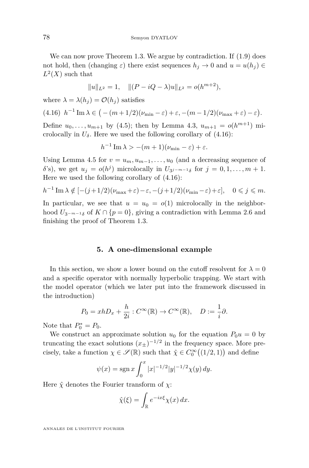We can now prove Theorem [1.3.](#page-8-0) We argue by contradiction. If  $(1.9)$  does not hold, then (changing  $\varepsilon$ ) there exist sequences  $h_j \to 0$  and  $u = u(h_j) \in$  $L^2(X)$  such that

$$
||u||_{L^2} = 1, \quad ||(P - iQ - \lambda)u||_{L^2} = o(h^{m+2}),
$$

where  $\lambda = \lambda(h_i) = \mathcal{O}(h_i)$  satisfies

<span id="page-24-1"></span>
$$
(4.16) \ \ h^{-1} \operatorname{Im} \lambda \in \big(-(m+1/2)(\nu_{\min} - \varepsilon) + \varepsilon, -(m-1/2)(\nu_{\max} + \varepsilon) - \varepsilon\big).
$$

Define  $u_0, \ldots, u_{m+1}$  by [\(4.5\)](#page-21-4); then by Lemma [4.3,](#page-21-5)  $u_{m+1} = o(h^{m+1})$  microlocally in  $U_{\delta}$ . Here we used the following corollary of  $(4.16)$ :

$$
h^{-1} \operatorname{Im} \lambda > -(m+1)(\nu_{\min} - \varepsilon) + \varepsilon.
$$

Using Lemma [4.5](#page-22-1) for  $v = u_m, u_{m-1}, \ldots, u_0$  (and a decreasing sequence of *δ*'s), we get  $u_j = o(h^j)$  microlocally in  $U_{3j-m-1\delta}$  for  $j = 0, 1, \ldots, m+1$ . Here we used the following corollary of [\(4.16\)](#page-24-1):

$$
h^{-1}\operatorname{Im}\lambda \notin [-(j+1/2)(\nu_{\max}+\varepsilon)-\varepsilon,-(j+1/2)(\nu_{\min}-\varepsilon)+\varepsilon], \quad 0\leqslant j\leqslant m.
$$

In particular, we see that  $u = u_0 = o(1)$  microlocally in the neighborhood  $U_{3^{-m-1}\delta}$  of  $K \cap \{p=0\}$ , giving a contradiction with Lemma [2.6](#page-14-1) and finishing the proof of Theorem [1.3.](#page-8-0)

#### **5. A one-dimensional example**

<span id="page-24-0"></span>In this section, we show a lower bound on the cutoff resolvent for  $\lambda = 0$ and a specific operator with normally hyperbolic trapping. We start with the model operator (which we later put into the framework discussed in the introduction)

$$
P_0 = xhD_x + \frac{h}{2i} : C^{\infty}(\mathbb{R}) \to C^{\infty}(\mathbb{R}), \quad D := \frac{1}{i}\partial.
$$

Note that  $P_0^* = P_0$ .

We construct an approximate solution  $u_0$  for the equation  $P_0u = 0$  by truncating the exact solutions  $(x_{\pm})^{-1/2}$  in the frequency space. More precisely, take a function  $\chi \in \mathcal{S}(\mathbb{R})$  such that  $\hat{\chi} \in C_0^{\infty}((1/2, 1))$  and define

$$
\psi(x) = \operatorname{sgn} x \int_0^x |x|^{-1/2} |y|^{-1/2} \chi(y) \, dy.
$$

Here  $\hat{\chi}$  denotes the Fourier transform of  $\chi$ :

$$
\hat{\chi}(\xi) = \int_{\mathbb{R}} e^{-ix\xi} \chi(x) \, dx.
$$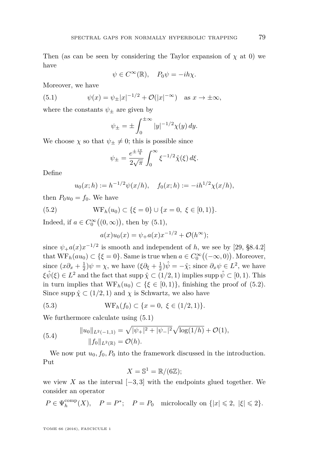Then (as can be seen by considering the Taylor expansion of  $\chi$  at 0) we have

<span id="page-25-0"></span>
$$
\psi \in C^{\infty}(\mathbb{R}), \quad P_0 \psi = -ih\chi.
$$

Moreover, we have

(5.1) 
$$
\psi(x) = \psi_{\pm}|x|^{-1/2} + \mathcal{O}(|x|^{-\infty}) \text{ as } x \to \pm \infty,
$$

where the constants  $\psi_{\pm}$  are given by

$$
\psi_{\pm} = \pm \int_0^{\pm \infty} |y|^{-1/2} \chi(y) dy.
$$

We choose  $\chi$  so that  $\psi_{\pm} \neq 0$ ; this is possible since

$$
\psi_{\pm} = \frac{e^{\pm \frac{i\pi}{4}}}{2\sqrt{\pi}} \int_0^\infty \xi^{-1/2} \hat{\chi}(\xi) d\xi.
$$

Define

<span id="page-25-1"></span>
$$
u_0(x; h) := h^{-1/2} \psi(x/h), \quad f_0(x; h) := -ih^{1/2} \chi(x/h),
$$

then  $P_0u_0 = f_0$ . We have

(5.2) 
$$
WF_h(u_0) \subset {\xi = 0} \cup {x = 0, \xi \in [0,1]}.
$$

Indeed, if  $a \in C_0^{\infty}((0, \infty))$ , then by  $(5.1)$ ,

$$
a(x)u_0(x) = \psi_+ a(x)x^{-1/2} + \mathcal{O}(h^{\infty});
$$

since  $\psi_+ a(x) x^{-1/2}$  is smooth and independent of *h*, we see by [\[29,](#page-28-3) §8.4.2] that  $WF_h(au_0) \subset {\xi = 0}$ . Same is true when  $a \in C_0^{\infty}((-\infty, 0))$ . Moreover, since  $(x\partial_x + \frac{1}{2})\psi = \chi$ , we have  $(\xi\partial_{\xi} + \frac{1}{2})\hat{\psi} = -\hat{\chi}$ ; since  $\partial_x\psi \in L^2$ , we have  $\xi \hat{\psi}(\xi) \in L^2$  and the fact that supp  $\hat{\chi} \subset (1/2, 1)$  implies supp  $\hat{\psi} \subset [0, 1)$ . This in turn implies that  $WF_h(u_0) \subset {\{\xi \in [0,1)\}}$ , finishing the proof of [\(5.2\)](#page-25-1). Since supp  $\hat{\chi} \subset (1/2, 1)$  and  $\chi$  is Schwartz, we also have

(5.3) 
$$
WF_h(f_0) \subset \{x = 0, \ \xi \in (1/2, 1)\}.
$$

We furthermore calculate using [\(5.1\)](#page-25-0)

<span id="page-25-2"></span>(5.4) 
$$
\|u_0\|_{L^2(-1,1)} = \sqrt{|\psi_+|^2 + |\psi_-|^2} \sqrt{\log(1/h)} + \mathcal{O}(1),
$$

$$
\|f_0\|_{L^2(\mathbb{R})} = \mathcal{O}(h).
$$

We now put  $u_0, f_0, P_0$  into the framework discussed in the introduction. Put

$$
X=\mathbb{S}^1=\mathbb{R}/(6\mathbb{Z});
$$

we view *X* as the interval  $[-3, 3]$  with the endpoints glued together. We consider an operator

$$
P \in \Psi_h^{\text{comp}}(X), \quad P = P^*; \quad P = P_0 \text{ microlocally on } \{|x| \leq 2, |\xi| \leq 2\}.
$$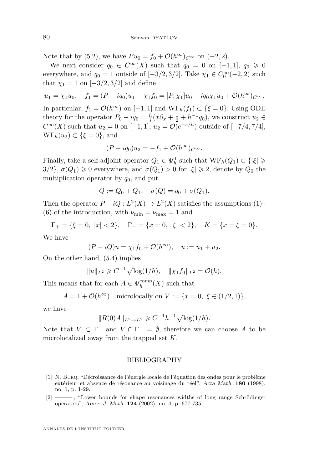Note that by [\(5.2\)](#page-25-1), we have  $Pu_0 = f_0 + \mathcal{O}(h^{\infty})_{C^{\infty}}$  on (-2, 2).

We next consider  $q_0 \in C^{\infty}(X)$  such that  $q_0 = 0$  on [-1, 1],  $q_0 \ge 0$ everywhere, and  $q_0 = 1$  outside of  $[-3/2, 3/2]$ . Take  $\chi_1 \in C_0^{\infty}(-2, 2)$  such that  $\chi_1 = 1$  on  $[-3/2, 3/2]$  and define

$$
u_1 = \chi_1 u_0, \quad f_1 = (P - iq_0)u_1 - \chi_1 f_0 = [P, \chi_1]u_0 - iq_0 \chi_1 u_0 + \mathcal{O}(h^{\infty})_{C^{\infty}}.
$$

In particular,  $f_1 = \mathcal{O}(h^{\infty})$  on  $[-1, 1]$  and  $WF_h(f_1) \subset \{\xi = 0\}$ . Using ODE theory for the operator  $P_0 - iq_0 = \frac{h}{i}(x\partial_x + \frac{1}{2} + h^{-1}q_0)$ , we construct  $u_2 \in$ *C*<sup>∞</sup>(*X*) such that *u*<sub>2</sub> = 0 on [−1*,* 1], *u*<sub>2</sub> =  $\mathcal{O}(e^{-\varepsilon/h})$  outside of [−7/4*,* 7/4],  $WF_h(u_2) \subset {\xi = 0}$ , and

$$
(P - iq_0)u_2 = -f_1 + \mathcal{O}(h^{\infty})_{C^{\infty}}.
$$

Finally, take a self-adjoint operator  $Q_1 \in \Psi_h^0$  such that  $\text{WF}_h(Q_1) \subset \{|\xi| \geq 0\}$  $3/2$ }, *σ*(*Q*<sub>1</sub>) ≥ 0 everywhere, and *σ*(*Q*<sub>1</sub>) > 0 for  $|\xi|$  ≥ 2, denote by *Q*<sub>0</sub> the multiplication operator by *q*0, and put

$$
Q := Q_0 + Q_1, \quad \sigma(Q) = q_0 + \sigma(Q_1).
$$

Then the operator  $P - iQ : L^2(X) \to L^2(X)$  satisfies the assumptions [\(1\)](#page-5-1)– [\(6\)](#page-6-1) of the introduction, with  $\nu_{\min} = \nu_{\max} = 1$  and

$$
\Gamma_+ = \{\xi = 0, |x| < 2\}, \quad \Gamma_- = \{x = 0, |\xi| < 2\}, \quad K = \{x = \xi = 0\}.
$$

We have

$$
(P - iQ)u = \chi_1 f_0 + \mathcal{O}(h^{\infty}), \quad u := u_1 + u_2.
$$

On the other hand, [\(5.4\)](#page-25-2) implies

$$
||u||_{L^2} \geq C^{-1} \sqrt{\log(1/h)}, \quad ||\chi_1 f_0||_{L^2} = \mathcal{O}(h).
$$

This means that for each  $A \in \Psi_h^{\text{comp}}(X)$  such that

$$
A=1+\mathcal{O}(h^\infty)\quad\text{microlocally on }V:=\{x=0,\ \xi\in(1/2,1)\},
$$

we have

$$
||R(0)A||_{L^2 \to L^2} \geq C^{-1}h^{-1}\sqrt{\log(1/h)}.
$$

Note that  $V \subset \Gamma_-$  and  $V \cap \Gamma_+ = \emptyset$ , therefore we can choose A to be microlocalized away from the trapped set *K*.

#### BIBLIOGRAPHY

- <span id="page-26-0"></span>[1] N. Burq, "Décroissance de l'énergie locale de l'équation des ondes pour le problème extérieur et absence de résonance au voisinage du réel", Acta Math. **180** (1998), no. 1, p. 1-29.
- <span id="page-26-1"></span>[2] ——— , "Lower bounds for shape resonances widths of long range Schrödinger operators", Amer. J. Math. **124** (2002), no. 4, p. 677-735.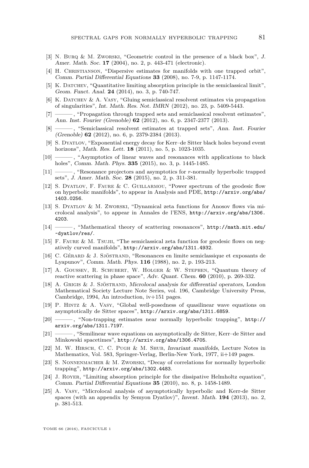- <span id="page-27-5"></span>[3] N. Burq & M. Zworski, "Geometric control in the presence of a black box", J. Amer. Math. Soc. **17** (2004), no. 2, p. 443-471 (electronic).
- <span id="page-27-16"></span>[4] H. Christianson, "Dispersive estimates for manifolds with one trapped orbit", Comm. Partial Differential Equations **33** (2008), no. 7-9, p. 1147-1174.
- <span id="page-27-19"></span>[5] K. DATCHEV, "Quantitative limiting absorption principle in the semiclassical limit", Geom. Funct. Anal. **24** (2014), no. 3, p. 740-747.
- <span id="page-27-9"></span>[6] K. Datchev & A. Vasy, "Gluing semiclassical resolvent estimates via propagation of singularities", Int. Math. Res. Not. IMRN (2012), no. 23, p. 5409-5443.
- <span id="page-27-20"></span>[7] ——— , "Propagation through trapped sets and semiclassical resolvent estimates", Ann. Inst. Fourier (Grenoble) **62** (2012), no. 6, p. 2347-2377 (2013).
- <span id="page-27-6"></span>[8] ——— , "Semiclassical resolvent estimates at trapped sets", Ann. Inst. Fourier (Grenoble) **62** (2012), no. 6, p. 2379-2384 (2013).
- <span id="page-27-8"></span>[9] S. Dyatlov, "Exponential energy decay for Kerr–de Sitter black holes beyond event horizons", Math. Res. Lett. **18** (2011), no. 5, p. 1023-1035.
- <span id="page-27-2"></span>[10] ——— , "Asymptotics of linear waves and resonances with applications to black holes", Comm. Math. Phys. **335** (2015), no. 3, p. 1445-1485.
- <span id="page-27-1"></span>[11] ——— , "Resonance projectors and asymptotics for *r*-normally hyperbolic trapped sets", J. Amer. Math. Soc. **28** (2015), no. 2, p. 311-381.
- <span id="page-27-4"></span>[12] S. Dyatlov, F. Faure & C. Guillarmou, "Power spectrum of the geodesic flow on hyperbolic manifolds", to appear in Analysis and PDE, [http://arxiv.org/abs/](http://arxiv.org/abs/1403.0256) [1403.0256](http://arxiv.org/abs/1403.0256).
- <span id="page-27-11"></span>[13] S. Dyatlov & M. Zworski, "Dynamical zeta functions for Anosov flows via microlocal analysis", to appear in Annales de l'ENS, [http://arxiv.org/abs/1306.](http://arxiv.org/abs/1306.4203) [4203](http://arxiv.org/abs/1306.4203).
- <span id="page-27-7"></span>[14] ——— , "Mathematical theory of scattering resonances", [http://math.mit.edu/](http://math.mit.edu/~dyatlov/res/) [~dyatlov/res/](http://math.mit.edu/~dyatlov/res/).
- <span id="page-27-3"></span>[15] F. Faure & M. Tsujii, "The semiclassical zeta function for geodesic flows on negatively curved manifolds", <http://arxiv.org/abs/1311.4932>.
- <span id="page-27-17"></span>[16] C. Gérard & J. Sjöstrand, "Resonances en limite semiclassique et exposants de Lyapunov", Comm. Math. Phys. **116** (1988), no. 2, p. 193-213.
- <span id="page-27-15"></span>[17] A. Goussev, R. Schubert, W. Holger & W. Stephen, "Quantum theory of reactive scattering in phase space", Adv. Quant. Chem. **60** (2010), p. 269-332.
- <span id="page-27-10"></span>[18] A. Grigis & J. Sjöstrand, Microlocal analysis for differential operators, London Mathematical Society Lecture Note Series, vol. 196, Cambridge University Press, Cambridge, 1994, An introduction, iv+151 pages.
- <span id="page-27-14"></span>[19] P. Hintz & A. Vasy, "Global well-posedness of quasilinear wave equations on asymptotically de Sitter spaces", <http://arxiv.org/abs/1311.6859>.
- <span id="page-27-21"></span>[20] ——— , "Non-trapping estimates near normally hyperbolic trapping", [http://](http://arxiv.org/abs/1311.7197) [arxiv.org/abs/1311.7197](http://arxiv.org/abs/1311.7197).
- <span id="page-27-13"></span>[21] ——— , "Semilinear wave equations on asymptotically de Sitter, Kerr–de Sitter and Minkowski spacetimes", <http://arxiv.org/abs/1306.4705>.
- <span id="page-27-18"></span>[22] M. W. Hirsch, C. C. Pugh & M. Shub, Invariant manifolds, Lecture Notes in Mathematics, Vol. 583, Springer-Verlag, Berlin-New York, 1977, ii+149 pages.
- <span id="page-27-0"></span>[23] S. Nonnenmacher & M. Zworski, "Decay of correlations for normally hyperbolic trapping", <http://arxiv.org/abs/1302.4483>.
- <span id="page-27-22"></span>[24] J. Royer, "Limiting absorption principle for the dissipative Helmholtz equation", Comm. Partial Differential Equations **35** (2010), no. 8, p. 1458-1489.
- <span id="page-27-12"></span>[25] A. Vasy, "Microlocal analysis of asymptotically hyperbolic and Kerr-de Sitter spaces (with an appendix by Semyon Dyatlov)", Invent. Math. **194** (2013), no. 2, p. 381-513.